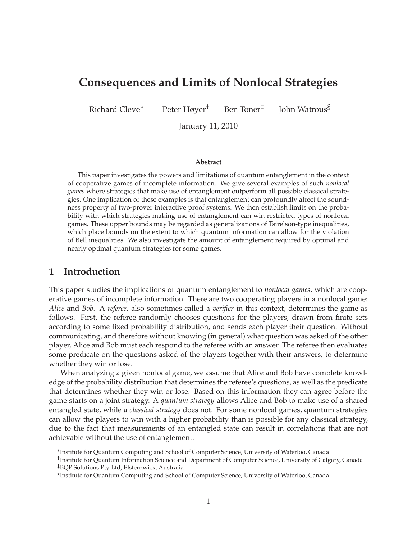# **Consequences and Limits of Nonlocal Strategies**

Richard Cleve<sup>∗</sup> Peter Høyer† Ben Toner‡

John Watrous§

January 11, 2010

#### **Abstract**

This paper investigates the powers and limitations of quantum entanglement in the context of cooperative games of incomplete information. We give several examples of such *nonlocal games* where strategies that make use of entanglement outperform all possible classical strategies. One implication of these examples is that entanglement can profoundly affect the soundness property of two-prover interactive proof systems. We then establish limits on the probability with which strategies making use of entanglement can win restricted types of nonlocal games. These upper bounds may be regarded as generalizations of Tsirelson-type inequalities, which place bounds on the extent to which quantum information can allow for the violation of Bell inequalities. We also investigate the amount of entanglement required by optimal and nearly optimal quantum strategies for some games.

# **1 Introduction**

This paper studies the implications of quantum entanglement to *nonlocal games*, which are cooperative games of incomplete information. There are two cooperating players in a nonlocal game: *Alice* and *Bob*. A *referee*, also sometimes called a *verifier* in this context, determines the game as follows. First, the referee randomly chooses questions for the players, drawn from finite sets according to some fixed probability distribution, and sends each player their question. Without communicating, and therefore without knowing (in general) what question was asked of the other player, Alice and Bob must each respond to the referee with an answer. The referee then evaluates some predicate on the questions asked of the players together with their answers, to determine whether they win or lose.

When analyzing a given nonlocal game, we assume that Alice and Bob have complete knowledge of the probability distribution that determines the referee's questions, as well as the predicate that determines whether they win or lose. Based on this information they can agree before the game starts on a joint strategy. A *quantum strategy* allows Alice and Bob to make use of a shared entangled state, while a *classical strategy* does not. For some nonlocal games, quantum strategies can allow the players to win with a higher probability than is possible for any classical strategy, due to the fact that measurements of an entangled state can result in correlations that are not achievable without the use of entanglement.

<sup>∗</sup> Institute for Quantum Computing and School of Computer Science, University of Waterloo, Canada

<sup>†</sup> Institute for Quantum Information Science and Department of Computer Science, University of Calgary, Canada ‡BQP Solutions Pty Ltd, Elsternwick, Australia

 ${}^{\S}$ Institute for Quantum Computing and School of Computer Science, University of Waterloo, Canada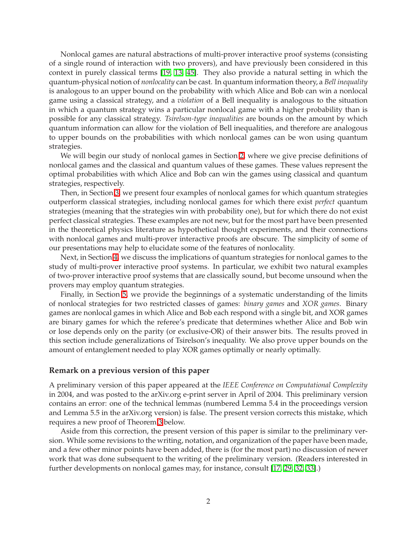Nonlocal games are natural abstractions of multi-prover interactive proof systems (consisting of a single round of interaction with two provers), and have previously been considered in this context in purely classical terms [\[19,](#page-22-0) [13,](#page-22-1) [45\]](#page-24-0). They also provide a natural setting in which the quantum-physical notion of *nonlocality* can be cast. In quantum information theory, a *Bell inequality* is analogous to an upper bound on the probability with which Alice and Bob can win a nonlocal game using a classical strategy, and a *violation* of a Bell inequality is analogous to the situation in which a quantum strategy wins a particular nonlocal game with a higher probability than is possible for any classical strategy. *Tsirelson-type inequalities* are bounds on the amount by which quantum information can allow for the violation of Bell inequalities, and therefore are analogous to upper bounds on the probabilities with which nonlocal games can be won using quantum strategies.

We will begin our study of nonlocal games in Section [2,](#page-2-0) where we give precise definitions of nonlocal games and the classical and quantum values of these games. These values represent the optimal probabilities with which Alice and Bob can win the games using classical and quantum strategies, respectively.

Then, in Section [3,](#page-4-0) we present four examples of nonlocal games for which quantum strategies outperform classical strategies, including nonlocal games for which there exist *perfect* quantum strategies (meaning that the strategies win with probability one), but for which there do not exist perfect classical strategies. These examples are not new, but for the most part have been presented in the theoretical physics literature as hypothetical thought experiments, and their connections with nonlocal games and multi-prover interactive proofs are obscure. The simplicity of some of our presentations may help to elucidate some of the features of nonlocality.

Next, in Section [4,](#page-8-0) we discuss the implications of quantum strategies for nonlocal games to the study of multi-prover interactive proof systems. In particular, we exhibit two natural examples of two-prover interactive proof systems that are classically sound, but become unsound when the provers may employ quantum strategies.

Finally, in Section [5,](#page-10-0) we provide the beginnings of a systematic understanding of the limits of nonlocal strategies for two restricted classes of games: *binary games* and *XOR games*. Binary games are nonlocal games in which Alice and Bob each respond with a single bit, and XOR games are binary games for which the referee's predicate that determines whether Alice and Bob win or lose depends only on the parity (or exclusive-OR) of their answer bits. The results proved in this section include generalizations of Tsirelson's inequality. We also prove upper bounds on the amount of entanglement needed to play XOR games optimally or nearly optimally.

#### **Remark on a previous version of this paper**

A preliminary version of this paper appeared at the *IEEE Conference on Computational Complexity* in 2004, and was posted to the arXiv.org e-print server in April of 2004. This preliminary version contains an error: one of the technical lemmas (numbered Lemma 5.4 in the proceedings version and Lemma 5.5 in the arXiv.org version) is false. The present version corrects this mistake, which requires a new proof of Theorem [3](#page-12-0) below.

Aside from this correction, the present version of this paper is similar to the preliminary version. While some revisions to the writing, notation, and organization of the paper have been made, and a few other minor points have been added, there is (for the most part) no discussion of newer work that was done subsequent to the writing of the preliminary version. (Readers interested in further developments on nonlocal games may, for instance, consult [\[17,](#page-22-2) [29,](#page-23-0) [32,](#page-23-1) [33\]](#page-23-2).)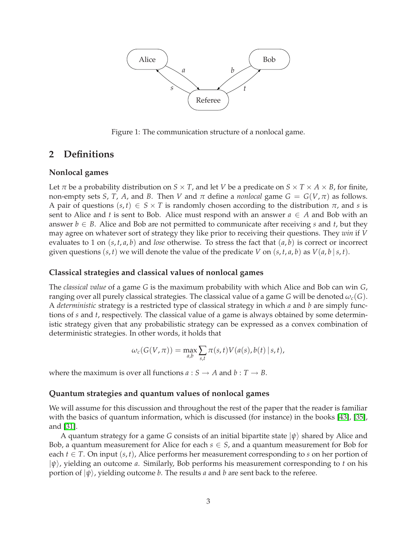

Figure 1: The communication structure of a nonlocal game.

# <span id="page-2-0"></span>**2 Definitions**

### **Nonlocal games**

Let  $\pi$  be a probability distribution on  $S \times T$ , and let *V* be a predicate on  $S \times T \times A \times B$ , for finite, non-empty sets *S*, *T*, *A*, and *B*. Then *V* and  $\pi$  define a *nonlocal* game  $G = G(V, \pi)$  as follows. A pair of questions  $(s, t) \in S \times T$  is randomly chosen according to the distribution  $\pi$ , and *s* is sent to Alice and *t* is sent to Bob. Alice must respond with an answer  $a \in A$  and Bob with an answer  $b \in B$ . Alice and Bob are not permitted to communicate after receiving *s* and *t*, but they may agree on whatever sort of strategy they like prior to receiving their questions. They *win* if *V* evaluates to 1 on  $(s, t, a, b)$  and *lose* otherwise. To stress the fact that  $(a, b)$  is correct or incorrect given questions  $(s, t)$  we will denote the value of the predicate *V* on  $(s, t, a, b)$  as  $V(a, b | s, t)$ .

### **Classical strategies and classical values of nonlocal games**

The *classical value* of a game *G* is the maximum probability with which Alice and Bob can win *G*, ranging over all purely classical strategies. The classical value of a game *G* will be denoted  $\omega_c(G)$ . A *deterministic* strategy is a restricted type of classical strategy in which *a* and *b* are simply functions of *s* and *t*, respectively. The classical value of a game is always obtained by some deterministic strategy given that any probabilistic strategy can be expressed as a convex combination of deterministic strategies. In other words, it holds that

$$
\omega_c(G(V,\pi)) = \max_{a,b} \sum_{s,t} \pi(s,t) V(a(s),b(t) \mid s,t),
$$

where the maximum is over all functions  $a: S \rightarrow A$  and  $b: T \rightarrow B$ .

### **Quantum strategies and quantum values of nonlocal games**

We will assume for this discussion and throughout the rest of the paper that the reader is familiar with the basics of quantum information, which is discussed (for instance) in the books [\[43\]](#page-24-1), [\[35\]](#page-23-3), and [\[31\]](#page-23-4).

A quantum strategy for a game *G* consists of an initial bipartite state  $|\psi\rangle$  shared by Alice and Bob, a quantum measurement for Alice for each  $s \in S$ , and a quantum measurement for Bob for each  $t \in T$ . On input  $(s, t)$ , Alice performs her measurement corresponding to *s* on her portion of |*ψ*i, yielding an outcome *a*. Similarly, Bob performs his measurement corresponding to *t* on his portion of  $|\psi\rangle$ , yielding outcome *b*. The results *a* and *b* are sent back to the referee.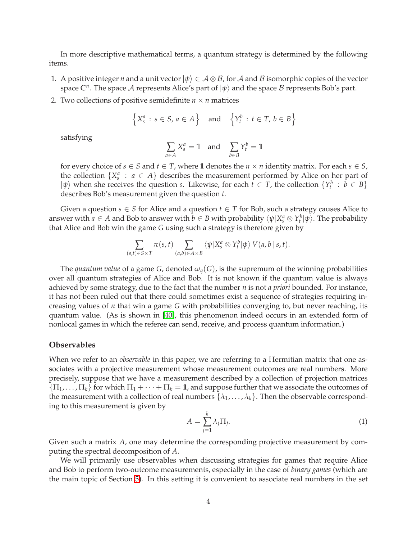In more descriptive mathematical terms, a quantum strategy is determined by the following items.

- 1. A positive integer *n* and a unit vector  $|\psi\rangle \in A \otimes B$ , for A and B isomorphic copies of the vector space  $\mathbb{C}^n$ . The space A represents Alice's part of  $|\psi\rangle$  and the space B represents Bob's part.
- 2. Two collections of positive semidefinite  $n \times n$  matrices

$$
\left\{X_s^a : s \in S, a \in A\right\} \quad \text{and} \quad \left\{Y_t^b : t \in T, b \in B\right\}
$$

satisfying

$$
\sum_{a \in A} X_s^a = \mathbb{1} \quad \text{and} \quad \sum_{b \in B} Y_t^b = \mathbb{1}
$$

for every choice of  $s \in S$  and  $t \in T$ , where 1 denotes the  $n \times n$  identity matrix. For each  $s \in S$ , the collection  $\{X_s^a : a \in A\}$  describes the measurement performed by Alice on her part of  $|\psi\rangle$  when she receives the question *s*. Likewise, for each  $t \in T$ , the collection  $\{Y_t^b : b \in B\}$ describes Bob's measurement given the question *t*.

Given a question  $s \in S$  for Alice and a question  $t \in T$  for Bob, such a strategy causes Alice to answer with  $a \in A$  and Bob to answer with  $b \in B$  with probability  $\langle \psi | X_s^a \otimes Y_t^b | \psi \rangle$ . The probability that Alice and Bob win the game *G* using such a strategy is therefore given by

$$
\sum_{(s,t)\in S\times T}\pi(s,t)\sum_{(a,b)\in A\times B}\langle\psi|X_s^a\otimes Y_t^b|\psi\rangle V(a,b\mid s,t).
$$

The *quantum value* of a game *G*, denoted  $\omega_q(G)$ , is the supremum of the winning probabilities over all quantum strategies of Alice and Bob. It is not known if the quantum value is always achieved by some strategy, due to the fact that the number *n* is not *a priori* bounded. For instance, it has not been ruled out that there could sometimes exist a sequence of strategies requiring increasing values of *n* that win a game *G* with probabilities converging to, but never reaching, its quantum value. (As is shown in [\[40\]](#page-23-5), this phenomenon indeed occurs in an extended form of nonlocal games in which the referee can send, receive, and process quantum information.)

### **Observables**

When we refer to an *observable* in this paper, we are referring to a Hermitian matrix that one associates with a projective measurement whose measurement outcomes are real numbers. More precisely, suppose that we have a measurement described by a collection of projection matrices  ${\{\Pi_1,\ldots,\Pi_k\}}$  for which  ${\Pi_1+\cdots+\Pi_k=1}$ , and suppose further that we associate the outcomes of the measurement with a collection of real numbers  $\{\lambda_1, \ldots, \lambda_k\}$ . Then the observable corresponding to this measurement is given by

$$
A = \sum_{j=1}^{k} \lambda_j \Pi_j.
$$
 (1)

Given such a matrix *A*, one may determine the corresponding projective measurement by computing the spectral decomposition of *A*.

We will primarily use observables when discussing strategies for games that require Alice and Bob to perform two-outcome measurements, especially in the case of *binary games* (which are the main topic of Section [5\)](#page-10-0). In this setting it is convenient to associate real numbers in the set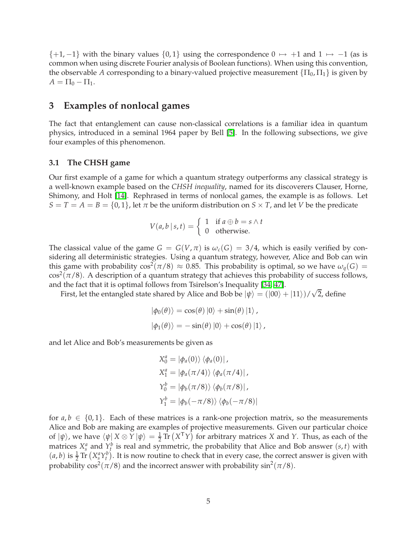$\{+1, -1\}$  with the binary values  $\{0, 1\}$  using the correspondence  $0 \mapsto +1$  and  $1 \mapsto -1$  (as is common when using discrete Fourier analysis of Boolean functions). When using this convention, the observable *A* corresponding to a binary-valued projective measurement  $\{\Pi_0, \Pi_1\}$  is given by  $A = \Pi_0 - \Pi_1.$ 

# <span id="page-4-0"></span>**3 Examples of nonlocal games**

The fact that entanglement can cause non-classical correlations is a familiar idea in quantum physics, introduced in a seminal 1964 paper by Bell [\[5\]](#page-21-0). In the following subsections, we give four examples of this phenomenon.

### **3.1 The CHSH game**

Our first example of a game for which a quantum strategy outperforms any classical strategy is a well-known example based on the *CHSH inequality*, named for its discoverers Clauser, Horne, Shimony, and Holt [\[14\]](#page-22-3). Rephrased in terms of nonlocal games, the example is as follows. Let  $S = T = A = B = \{0, 1\}$ , let  $\pi$  be the uniform distribution on  $S \times T$ , and let *V* be the predicate

$$
V(a, b | s, t) = \begin{cases} 1 & \text{if } a \oplus b = s \land t \\ 0 & \text{otherwise.} \end{cases}
$$

The classical value of the game  $G = G(V, \pi)$  is  $\omega_c(G) = 3/4$ , which is easily verified by considering all deterministic strategies. Using a quantum strategy, however, Alice and Bob can win this game with probability  $\cos^2(\pi/8) \approx 0.85$ . This probability is optimal, so we have  $\omega_q(G)$  =  $\cos^2(\pi/8)$ . A description of a quantum strategy that achieves this probability of success follows, and the fact that it is optimal follows from Tsirelson's Inequality [\[34,](#page-23-6) [47\]](#page-24-2).

First, let the entangled state shared by Alice and Bob be  $|\psi\rangle = (|00\rangle + |11\rangle)/\sqrt{2}$ , define

$$
|\phi_0(\theta)\rangle = \cos(\theta) |0\rangle + \sin(\theta) |1\rangle,
$$
  

$$
|\phi_1(\theta)\rangle = -\sin(\theta) |0\rangle + \cos(\theta) |1\rangle,
$$

and let Alice and Bob's measurements be given as

$$
X_0^a = |\phi_a(0)\rangle \langle \phi_a(0)|,
$$
  
\n
$$
X_1^a = |\phi_a(\pi/4)\rangle \langle \phi_a(\pi/4)|,
$$
  
\n
$$
Y_0^b = |\phi_b(\pi/8)\rangle \langle \phi_b(\pi/8)|,
$$
  
\n
$$
Y_1^b = |\phi_b(-\pi/8)\rangle \langle \phi_b(-\pi/8)|
$$

for  $a, b \in \{0, 1\}$ . Each of these matrices is a rank-one projection matrix, so the measurements Alice and Bob are making are examples of projective measurements. Given our particular choice of  $|\psi\rangle$ , we have  $\langle \psi | X \otimes Y | \psi \rangle = \frac{1}{2} \text{Tr} (X^T Y)$  for arbitrary matrices *X* and *Y*. Thus, as each of the matrices  $X_s^a$  and  $Y_t^b$  is real and symmetric, the probability that Alice and Bob answer  $(s, t)$  with  $(a, b)$  is  $\frac{1}{2}$  Tr  $(X_s^a Y_t^b)$ . It is now routine to check that in every case, the correct answer is given with probability  $cos^2(\pi/8)$  and the incorrect answer with probability  $sin^2(\pi/8)$ .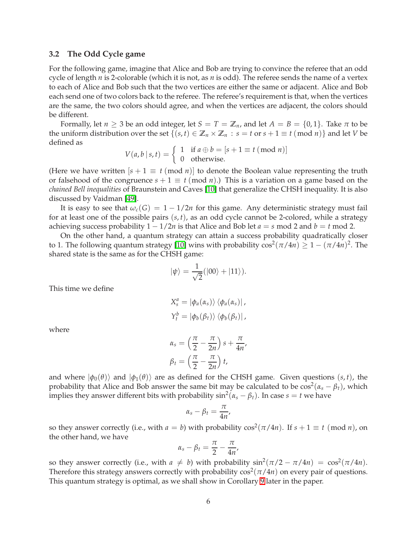### <span id="page-5-0"></span>**3.2 The Odd Cycle game**

For the following game, imagine that Alice and Bob are trying to convince the referee that an odd cycle of length *n* is 2-colorable (which it is not, as *n* is odd). The referee sends the name of a vertex to each of Alice and Bob such that the two vertices are either the same or adjacent. Alice and Bob each send one of two colors back to the referee. The referee's requirement is that, when the vertices are the same, the two colors should agree, and when the vertices are adjacent, the colors should be different.

Formally, let  $n \ge 3$  be an odd integer, let  $S = T = \mathbb{Z}_n$ , and let  $A = B = \{0, 1\}$ . Take  $\pi$  to be the uniform distribution over the set  $\{(s,t) \in \mathbb{Z}_n \times \mathbb{Z}_n : s = t \text{ or } s + 1 \equiv t \pmod{n}\}$  and let *V* be defined as

$$
V(a, b | s, t) = \begin{cases} 1 & \text{if } a \oplus b = [s + 1 \equiv t \pmod{n}] \\ 0 & \text{otherwise.} \end{cases}
$$

(Here we have written  $[s + 1 \equiv t \pmod{n}]$  to denote the Boolean value representing the truth or falsehood of the congruence  $s + 1 \equiv t \pmod{n}$ .) This is a variation on a game based on the *chained Bell inequalities* of Braunstein and Caves [\[10\]](#page-22-4) that generalize the CHSH inequality. It is also discussed by Vaidman [\[49\]](#page-24-3).

It is easy to see that  $\omega_c(G) = 1 - 1/2n$  for this game. Any deterministic strategy must fail for at least one of the possible pairs (*s*, *t*), as an odd cycle cannot be 2-colored, while a strategy achieving success probability  $1 - 1/2n$  is that Alice and Bob let  $a = s \mod 2$  and  $b = t \mod 2$ .

On the other hand, a quantum strategy can attain a success probability quadratically closer to 1. The following quantum strategy [\[10\]](#page-22-4) wins with probability  $\cos^2(\pi/4n) \geq 1 - (\pi/4n)^2$ . The shared state is the same as for the CHSH game:

$$
|\psi\rangle = \frac{1}{\sqrt{2}}(|00\rangle + |11\rangle).
$$

This time we define

$$
X_s^a = |\phi_a(\alpha_s)\rangle \langle \phi_a(\alpha_s)|,
$$
  

$$
Y_t^b = |\phi_b(\beta_t)\rangle \langle \phi_b(\beta_t)|,
$$

where

$$
\alpha_s = \left(\frac{\pi}{2} - \frac{\pi}{2n}\right)s + \frac{\pi}{4n'},
$$
  

$$
\beta_t = \left(\frac{\pi}{2} - \frac{\pi}{2n}\right)t,
$$

and where  $|\phi_0(\theta)\rangle$  and  $|\phi_1(\theta)\rangle$  are as defined for the CHSH game. Given questions  $(s, t)$ , the probability that Alice and Bob answer the same bit may be calculated to be  $\cos^2(\alpha_s - \beta_t)$ , which implies they answer different bits with probability  $\sin^2(\alpha_s - \beta_t)$ . In case  $s = t$  we have

$$
\alpha_s - \beta_t = \frac{\pi}{4n},
$$

so they answer correctly (i.e., with  $a = b$ ) with probability  $\cos^2(\pi/4n)$ . If  $s + 1 \equiv t \pmod{n}$ , on the other hand, we have

$$
\alpha_s-\beta_t=\frac{\pi}{2}-\frac{\pi}{4n},
$$

so they answer correctly (i.e., with  $a \neq b$ ) with probability  $\sin^2(\pi/2 - \pi/4n) = \cos^2(\pi/4n)$ . Therefore this strategy answers correctly with probability  $\cos^2(\pi/4n)$  on every pair of questions. This quantum strategy is optimal, as we shall show in Corollary [9](#page-18-0) later in the paper.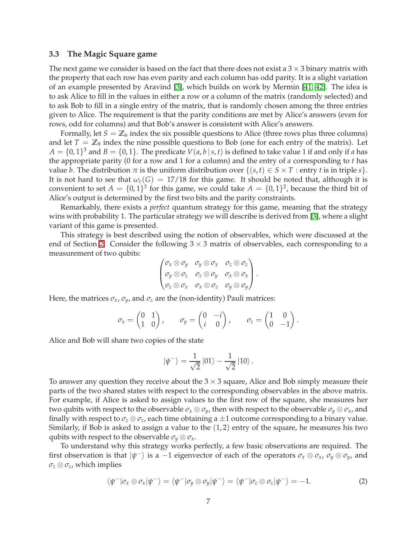### <span id="page-6-0"></span>**3.3 The Magic Square game**

The next game we consider is based on the fact that there does not exist a  $3 \times 3$  binary matrix with the property that each row has even parity and each column has odd parity. It is a slight variation of an example presented by Aravind [\[3\]](#page-21-1), which builds on work by Mermin [\[41,](#page-23-7) [42\]](#page-24-4). The idea is to ask Alice to fill in the values in either a row or a column of the matrix (randomly selected) and to ask Bob to fill in a single entry of the matrix, that is randomly chosen among the three entries given to Alice. The requirement is that the parity conditions are met by Alice's answers (even for rows, odd for columns) and that Bob's answer is consistent with Alice's answers.

Formally, let  $S = \mathbb{Z}_6$  index the six possible questions to Alice (three rows plus three columns) and let  $T = \mathbb{Z}_9$  index the nine possible questions to Bob (one for each entry of the matrix). Let  $A = \{0, 1\}^3$  and  $B = \{0, 1\}$ . The predicate  $V(a, b | s, t)$  is defined to take value 1 if and only if *a* has the appropriate parity (0 for a row and 1 for a column) and the entry of *a* corresponding to *t* has value *b*. The distribution  $\pi$  is the uniform distribution over  $\{(s,t) \in S \times T :$  entry *t* is in triple *s* $\}$ . It is not hard to see that  $\omega_c(G) = 17/18$  for this game. It should be noted that, although it is convenient to set  $A = \{0, 1\}^3$  for this game, we could take  $A = \{0, 1\}^2$ , because the third bit of Alice's output is determined by the first two bits and the parity constraints.

Remarkably, there exists a *perfect* quantum strategy for this game, meaning that the strategy wins with probability 1. The particular strategy we will describe is derived from [\[3\]](#page-21-1), where a slight variant of this game is presented.

This strategy is best described using the notion of observables, which were discussed at the end of Section [2.](#page-2-0) Consider the following  $3 \times 3$  matrix of observables, each corresponding to a measurement of two qubits:

$$
\begin{pmatrix}\n\sigma_x \otimes \sigma_y & \sigma_y \otimes \sigma_x & \sigma_z \otimes \sigma_z \\
\sigma_y \otimes \sigma_z & \sigma_z \otimes \sigma_y & \sigma_x \otimes \sigma_x \\
\sigma_z \otimes \sigma_x & \sigma_x \otimes \sigma_z & \sigma_y \otimes \sigma_y\n\end{pmatrix}.
$$

Here, the matrices  $\sigma_x$ ,  $\sigma_y$ , and  $\sigma_z$  are the (non-identity) Pauli matrices:

$$
\sigma_x = \begin{pmatrix} 0 & 1 \\ 1 & 0 \end{pmatrix}, \quad \sigma_y = \begin{pmatrix} 0 & -i \\ i & 0 \end{pmatrix}, \quad \sigma_z = \begin{pmatrix} 1 & 0 \\ 0 & -1 \end{pmatrix}.
$$

Alice and Bob will share two copies of the state

$$
\left|\psi^{-}\right\rangle = \frac{1}{\sqrt{2}}\left|01\right\rangle - \frac{1}{\sqrt{2}}\left|10\right\rangle.
$$

To answer any question they receive about the  $3 \times 3$  square, Alice and Bob simply measure their parts of the two shared states with respect to the corresponding observables in the above matrix. For example, if Alice is asked to assign values to the first row of the square, she measures her two qubits with respect to the observable  $\sigma_x \otimes \sigma_y$ , then with respect to the observable  $\sigma_y \otimes \sigma_x$ , and finally with respect to  $\sigma_z \otimes \sigma_z$ , each time obtaining a  $\pm 1$  outcome corresponding to a binary value. Similarly, if Bob is asked to assign a value to the  $(1, 2)$  entry of the square, he measures his two qubits with respect to the observable  $\sigma_y \otimes \sigma_x$ .

To understand why this strategy works perfectly, a few basic observations are required. The first observation is that  $|\psi^{-}\rangle$  is a −1 eigenvector of each of the operators  $\sigma_x \otimes \sigma_x$ ,  $\sigma_y \otimes \sigma_y$ , and  $\sigma$ <sup>*z*</sup>  $\otimes$   $\sigma$ <sup>*z*</sup>, which implies

$$
\langle \psi^-|\sigma_x \otimes \sigma_x|\psi^-\rangle = \langle \psi^-|\sigma_y \otimes \sigma_y|\psi^-\rangle = \langle \psi^-|\sigma_z \otimes \sigma_z|\psi^-\rangle = -1. \tag{2}
$$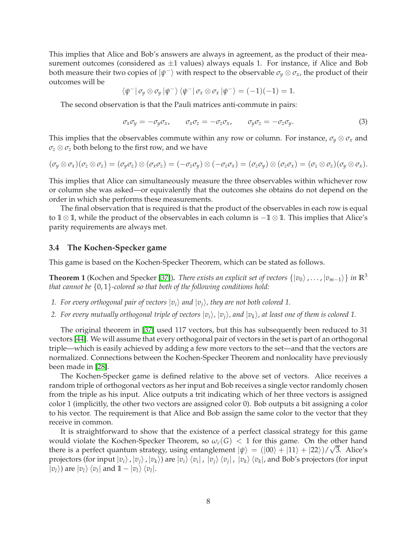This implies that Alice and Bob's answers are always in agreement, as the product of their measurement outcomes (considered as  $\pm 1$  values) always equals 1. For instance, if Alice and Bob both measure their two copies of  $|\psi^-\rangle$  with respect to the observable  $\sigma_y\otimes\sigma_x$ , the product of their outcomes will be

$$
\langle \psi^- | \sigma_y \otimes \sigma_y | \psi^- \rangle \langle \psi^- | \sigma_x \otimes \sigma_x | \psi^- \rangle = (-1)(-1) = 1.
$$

The second observation is that the Pauli matrices anti-commute in pairs:

$$
\sigma_x \sigma_y = -\sigma_y \sigma_x, \qquad \sigma_x \sigma_z = -\sigma_z \sigma_x, \qquad \sigma_y \sigma_z = -\sigma_z \sigma_y. \tag{3}
$$

This implies that the observables commute within any row or column. For instance,  $\sigma_y \otimes \sigma_x$  and *σ<sup>z</sup>* ⊗ *σ<sup>z</sup>* both belong to the first row, and we have

$$
(\sigma_y \otimes \sigma_x)(\sigma_z \otimes \sigma_z) = (\sigma_y \sigma_z) \otimes (\sigma_x \sigma_z) = (-\sigma_z \sigma_y) \otimes (-\sigma_z \sigma_x) = (\sigma_z \sigma_y) \otimes (\sigma_z \sigma_x) = (\sigma_z \otimes \sigma_z)(\sigma_y \otimes \sigma_x).
$$

This implies that Alice can simultaneously measure the three observables within whichever row or column she was asked—or equivalently that the outcomes she obtains do not depend on the order in which she performs these measurements.

The final observation that is required is that the product of the observables in each row is equal to **<sup>1</sup>** <sup>⊗</sup> **<sup>1</sup>**, while the product of the observables in each column is <sup>−</sup>**<sup>1</sup>** <sup>⊗</sup> **<sup>1</sup>**. This implies that Alice's parity requirements are always met.

### **3.4 The Kochen-Specker game**

This game is based on the Kochen-Specker Theorem, which can be stated as follows.

**Theorem 1** (Kochen and Specker [\[37\]](#page-23-8)). *There exists an explicit set of vectors*  $\{|v_0\rangle, \ldots, |v_{m-1}\rangle\}$  *in*  $\mathbb{R}^3$ *that cannot be* {0, 1}*-colored so that both of the following conditions hold:*

- *1. For every orthogonal pair of vectors*  $|v_i\rangle$  *and*  $|v_i\rangle$ *, they are not both colored 1.*
- *2. For every mutually orthogonal triple of vectors*  $|v_i\rangle$ ,  $|v_j\rangle$ , and  $|v_k\rangle$ , at least one of them is colored 1.

The original theorem in [\[37\]](#page-23-8) used 117 vectors, but this has subsequently been reduced to 31 vectors [\[44\]](#page-24-5). We will assume that every orthogonal pair of vectors in the set is part of an orthogonal triple—which is easily achieved by adding a few more vectors to the set—and that the vectors are normalized. Connections between the Kochen-Specker Theorem and nonlocality have previously been made in [\[28\]](#page-23-9).

The Kochen-Specker game is defined relative to the above set of vectors. Alice receives a random triple of orthogonal vectors as her input and Bob receives a single vector randomly chosen from the triple as his input. Alice outputs a trit indicating which of her three vectors is assigned color 1 (implicitly, the other two vectors are assigned color 0). Bob outputs a bit assigning a color to his vector. The requirement is that Alice and Bob assign the same color to the vector that they receive in common.

It is straightforward to show that the existence of a perfect classical strategy for this game would violate the Kochen-Specker Theorem, so  $\omega_c(G) < 1$  for this game. On the other hand there is a perfect quantum strategy, using entanglement  $|\psi\rangle = (|00\rangle + |11\rangle + |22\rangle)/\sqrt{3}$ . Alice's projectors (for input  $\ket{v_i}$  ,  $\ket{v_j}$  ,  $\ket{v_k}$ ) are  $\ket{v_i}\bra{v_i}$  ,  $\ket{v_j}\bra{v_j}$  ,  $\ket{v_k}\bra{v_k}$ , and Bob's projectors (for input  $|v_l\rangle$ ) are  $|v_l\rangle$   $\langle v_l|$  and  $1 - |v_l\rangle$   $\langle v_l|$ .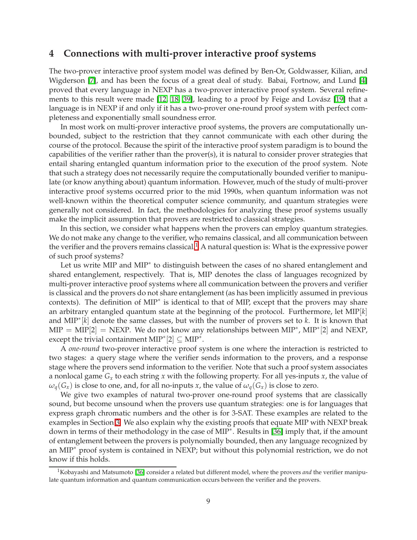# <span id="page-8-0"></span>**4 Connections with multi-prover interactive proof systems**

The two-prover interactive proof system model was defined by Ben-Or, Goldwasser, Kilian, and Wigderson [\[7\]](#page-21-2), and has been the focus of a great deal of study. Babai, Fortnow, and Lund [\[4\]](#page-21-3) proved that every language in NEXP has a two-prover interactive proof system. Several refinements to this result were made  $[12, 18, 39]$  $[12, 18, 39]$  $[12, 18, 39]$ , leading to a proof by Feige and Lovász  $[19]$  that a language is in NEXP if and only if it has a two-prover one-round proof system with perfect completeness and exponentially small soundness error.

In most work on multi-prover interactive proof systems, the provers are computationally unbounded, subject to the restriction that they cannot communicate with each other during the course of the protocol. Because the spirit of the interactive proof system paradigm is to bound the capabilities of the verifier rather than the prover(s), it is natural to consider prover strategies that entail sharing entangled quantum information prior to the execution of the proof system. Note that such a strategy does not necessarily require the computationally bounded verifier to manipulate (or know anything about) quantum information. However, much of the study of multi-prover interactive proof systems occurred prior to the mid 1990s, when quantum information was not well-known within the theoretical computer science community, and quantum strategies were generally not considered. In fact, the methodologies for analyzing these proof systems usually make the implicit assumption that provers are restricted to classical strategies.

In this section, we consider what happens when the provers can employ quantum strategies. We do not make any change to the verifier, who remains classical, and all communication between the verifier and the provers remains classical.<sup>[1](#page-8-1)</sup> A natural question is: What is the expressive power of such proof systems?

Let us write MIP and MIP∗ to distinguish between the cases of no shared entanglement and shared entanglement, respectively. That is, MIP denotes the class of languages recognized by multi-prover interactive proof systems where all communication between the provers and verifier is classical and the provers do not share entanglement (as has been implicitly assumed in previous contexts). The definition of MIP∗ is identical to that of MIP, except that the provers may share an arbitrary entangled quantum state at the beginning of the protocol. Furthermore, let MIP[*k*] and MIP∗ [*k*] denote the same classes, but with the number of provers set to *k*. It is known that  $\text{MIP} = \text{MIP}[2] = \text{NEXP}.$  We do not know any relationships between  $\text{MIP}^*$ ,  $\text{MIP}^*[2]$  and  $\text{NEXP},$ except the trivial containment  $\text{MIP}^*[2] \subseteq \text{MIP}^*$ .

A *one-round* two-prover interactive proof system is one where the interaction is restricted to two stages: a query stage where the verifier sends information to the provers, and a response stage where the provers send information to the verifier. Note that such a proof system associates a nonlocal game *G<sup>x</sup>* to each string *x* with the following property. For all yes-inputs *x*, the value of  $\omega_q(G_x)$  is close to one, and, for all no-inputs *x*, the value of  $\omega_q(G_x)$  is close to zero.

We give two examples of natural two-prover one-round proof systems that are classically sound, but become unsound when the provers use quantum strategies: one is for languages that express graph chromatic numbers and the other is for 3-SAT. These examples are related to the examples in Section [3.](#page-4-0) We also explain why the existing proofs that equate MIP with NEXP break down in terms of their methodology in the case of MIP∗ . Results in [\[36\]](#page-23-11) imply that, if the amount of entanglement between the provers is polynomially bounded, then any language recognized by an MIP∗ proof system is contained in NEXP; but without this polynomial restriction, we do not know if this holds.

<span id="page-8-1"></span><sup>1</sup>Kobayashi and Matsumoto [\[36\]](#page-23-11) consider a related but different model, where the provers *and* the verifier manipulate quantum information and quantum communication occurs between the verifier and the provers.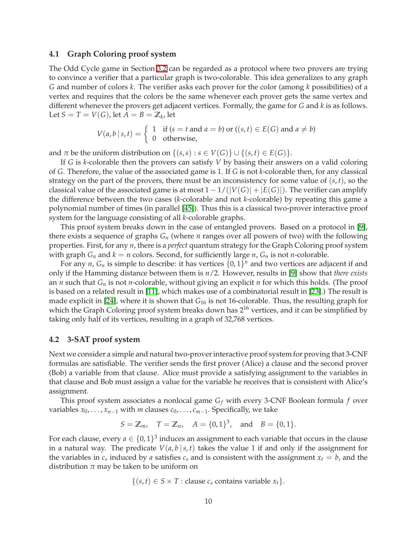### **4.1 Graph Coloring proof system**

The Odd Cycle game in Section [3.2](#page-5-0) can be regarded as a protocol where two provers are trying to convince a verifier that a particular graph is two-colorable. This idea generalizes to any graph *G* and number of colors *k*. The verifier asks each prover for the color (among *k* possibilities) of a vertex and requires that the colors be the same whenever each prover gets the same vertex and different whenever the provers get adjacent vertices. Formally, the game for *G* and *k* is as follows. Let  $S = T = V(G)$ , let  $A = B = \mathbb{Z}_k$ , let

$$
V(a, b | s, t) = \begin{cases} 1 & \text{if } (s = t \text{ and } a = b) \text{ or } ((s, t) \in E(G) \text{ and } a \neq b) \\ 0 & \text{otherwise,} \end{cases}
$$

and  $\pi$  be the uniform distribution on  $\{(s,s): s \in V(G)\} \cup \{(s,t) \in E(G)\}.$ 

If *G* is *k*-colorable then the provers can satisfy *V* by basing their answers on a valid coloring of *G*. Therefore, the value of the associated game is 1. If *G* is not *k*-colorable then, for any classical strategy on the part of the provers, there must be an inconsistency for some value of (*s*, *t*), so the classical value of the associated game is at most  $1 - 1/(|V(G)| + |E(G)|)$ . The verifier can amplify the difference between the two cases (*k*-colorable and not *k*-colorable) by repeating this game a polynomial number of times (in parallel [\[45\]](#page-24-0)). Thus this is a classical two-prover interactive proof system for the language consisting of all *k*-colorable graphs.

This proof system breaks down in the case of entangled provers. Based on a protocol in [\[9\]](#page-22-7), there exists a sequence of graphs  $G_n$  (where *n* ranges over all powers of two) with the following properties. First, for any *n*, there is a *perfect* quantum strategy for the Graph Coloring proof system with graph  $G_n$  and  $k = n$  colors. Second, for sufficiently large  $n$ ,  $G_n$  is not *n*-colorable.

For any *n*,  $G_n$  is simple to describe: it has vertices  $\{0, 1\}^n$  and two vertices are adjacent if and only if the Hamming distance between them is *n*/2. However, results in [\[9\]](#page-22-7) show that *there exists* an *n* such that *G<sup>n</sup>* is not *n*-colorable, without giving an explicit *n* for which this holds. (The proof is based on a related result in [\[11\]](#page-22-8), which makes use of a combinatorial result in [\[23\]](#page-22-9).) The result is made explicit in [\[24\]](#page-22-10), where it is shown that  $G_{16}$  is not 16-colorable. Thus, the resulting graph for which the Graph Coloring proof system breaks down has  $2^{16}$  vertices, and it can be simplified by taking only half of its vertices, resulting in a graph of 32,768 vertices.

# **4.2 3-SAT proof system**

Next we consider a simple and natural two-prover interactive proof system for proving that 3-CNF formulas are satisfiable. The verifier sends the first prover (Alice) a clause and the second prover (Bob) a variable from that clause. Alice must provide a satisfying assignment to the variables in that clause and Bob must assign a value for the variable he receives that is consistent with Alice's assignment.

This proof system associates a nonlocal game *G<sup>f</sup>* with every 3-CNF Boolean formula *f* over variables  $x_0, \ldots, x_{n-1}$  with *m* clauses  $c_0, \ldots, c_{m-1}$ . Specifically, we take

$$
S = \mathbb{Z}_m
$$
,  $T = \mathbb{Z}_n$ ,  $A = \{0, 1\}^3$ , and  $B = \{0, 1\}$ .

For each clause, every  $a \in \{0,1\}^3$  induces an assignment to each variable that occurs in the clause in a natural way. The predicate  $V(a, b \mid s, t)$  takes the value 1 if and only if the assignment for the variables in  $c_s$  induced by *a* satisfies  $c_s$  and is consistent with the assignment  $x_t = b$ , and the distribution  $\pi$  may be taken to be uniform on

$$
\{(s,t)\in S\times T: \text{ clause } c_s \text{ contains variable } x_t\}.
$$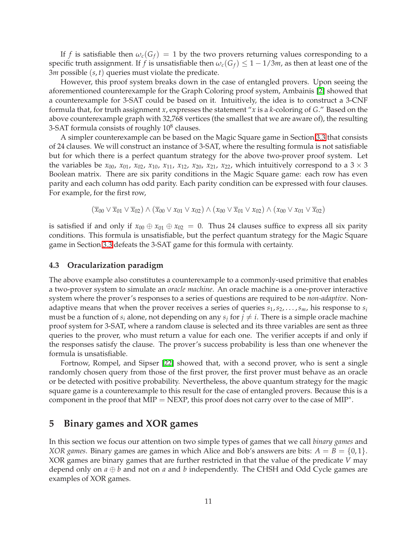If f is satisfiable then  $\omega_c(G_f) = 1$  by the two provers returning values corresponding to a specific truth assignment. If *f* is unsatisfiable then  $\omega_c(G_f) \leq 1 - 1/3m$ , as then at least one of the 3*m* possible (*s*, *t*) queries must violate the predicate.

However, this proof system breaks down in the case of entangled provers. Upon seeing the aforementioned counterexample for the Graph Coloring proof system, Ambainis [\[2\]](#page-21-4) showed that a counterexample for 3-SAT could be based on it. Intuitively, the idea is to construct a 3-CNF formula that, for truth assignment *x*, expresses the statement "*x* is a *k*-coloring of *G*." Based on the above counterexample graph with 32,768 vertices (the smallest that we are aware of), the resulting 3-SAT formula consists of roughly  $10^8$  clauses.

A simpler counterexample can be based on the Magic Square game in Section [3.3](#page-6-0) that consists of 24 clauses. We will construct an instance of 3-SAT, where the resulting formula is not satisfiable but for which there is a perfect quantum strategy for the above two-prover proof system. Let the variables be  $x_{00}$ ,  $x_{01}$ ,  $x_{02}$ ,  $x_{10}$ ,  $x_{11}$ ,  $x_{12}$ ,  $x_{20}$ ,  $x_{21}$ ,  $x_{22}$ , which intuitively correspond to a  $3 \times 3$ Boolean matrix. There are six parity conditions in the Magic Square game: each row has even parity and each column has odd parity. Each parity condition can be expressed with four clauses. For example, for the first row,

$$
(\overline{x}_{00}\vee\overline{x}_{01}\vee\overline{x}_{02})\wedge(\overline{x}_{00}\vee x_{01}\vee x_{02})\wedge(x_{00}\vee\overline{x}_{01}\vee x_{02})\wedge(x_{00}\vee x_{01}\vee\overline{x}_{02})
$$

is satisfied if and only if  $x_{00} \oplus x_{01} \oplus x_{02} = 0$ . Thus 24 clauses suffice to express all six parity conditions. This formula is unsatisfiable, but the perfect quantum strategy for the Magic Square game in Section [3.3](#page-6-0) defeats the 3-SAT game for this formula with certainty.

### **4.3 Oracularization paradigm**

The above example also constitutes a counterexample to a commonly-used primitive that enables a two-prover system to simulate an *oracle machine*. An oracle machine is a one-prover interactive system where the prover's responses to a series of questions are required to be *non-adaptive*. Nonadaptive means that when the prover receives a series of queries  $s_1, s_2, \ldots, s_m$ , his response to  $s_i$ must be a function of  $s_i$  alone, not depending on any  $s_j$  for  $j \neq i$ . There is a simple oracle machine proof system for 3-SAT, where a random clause is selected and its three variables are sent as three queries to the prover, who must return a value for each one. The verifier accepts if and only if the responses satisfy the clause. The prover's success probability is less than one whenever the formula is unsatisfiable.

Fortnow, Rompel, and Sipser [\[22\]](#page-22-11) showed that, with a second prover, who is sent a single randomly chosen query from those of the first prover, the first prover must behave as an oracle or be detected with positive probability. Nevertheless, the above quantum strategy for the magic square game is a counterexample to this result for the case of entangled provers. Because this is a component in the proof that MIP = NEXP, this proof does not carry over to the case of MIP $^*$ .

# <span id="page-10-0"></span>**5 Binary games and XOR games**

In this section we focus our attention on two simple types of games that we call *binary games* and *XOR games*. Binary games are games in which Alice and Bob's answers are bits:  $A = B = \{0, 1\}$ . XOR games are binary games that are further restricted in that the value of the predicate *V* may depend only on  $a \oplus b$  and not on  $a$  and  $b$  independently. The CHSH and Odd Cycle games are examples of XOR games.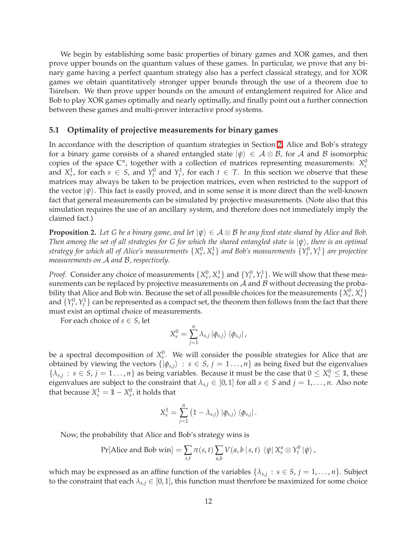We begin by establishing some basic properties of binary games and XOR games, and then prove upper bounds on the quantum values of these games. In particular, we prove that any binary game having a perfect quantum strategy also has a perfect classical strategy, and for XOR games we obtain quantitatively stronger upper bounds through the use of a theorem due to Tsirelson. We then prove upper bounds on the amount of entanglement required for Alice and Bob to play XOR games optimally and nearly optimally, and finally point out a further connection between these games and multi-prover interactive proof systems.

### **5.1 Optimality of projective measurements for binary games**

In accordance with the description of quantum strategies in Section [2,](#page-2-0) Alice and Bob's strategy for a binary game consists of a shared entangled state  $|\psi\rangle \in A \otimes B$ , for A and B isomorphic copies of the space  $\mathbb{C}^n$ , together with a collection of matrices representing measurements:  $X_s^0$ and  $X_s^1$ , for each  $s \in S$ , and  $Y_t^0$  and  $Y_t^1$ , for each  $t \in T$ . In this section we observe that these matrices may always be taken to be projection matrices, even when restricted to the support of the vector  $|\psi\rangle$ . This fact is easily proved, and in some sense it is more direct than the well-known fact that general measurements can be simulated by projective measurements. (Note also that this simulation requires the use of an ancillary system, and therefore does not immediately imply the claimed fact.)

<span id="page-11-0"></span>**Proposition 2.** *Let G be a binary game, and let*  $|\psi\rangle \in A \otimes B$  *be any fixed state shared by Alice and Bob. Then among the set of all strategies for G for which the shared entangled state is*  $|\psi\rangle$ *, there is an optimal* strategy for which all of Alice's measurements  $\{X_s^0,X_s^1\}$  and Bob's measurements  $\{Y_t^0,Y_t^1\}$  are projective *measurements on* A *and* B*, respectively.*

*Proof.* Consider any choice of measurements  $\{X_s^0, X_s^1\}$  and  $\{Y_t^0, Y_t^1\}$ . We will show that these measurements can be replaced by projective measurements on  $A$  and  $B$  without decreasing the probability that Alice and Bob win. Because the set of all possible choices for the measurements  $\{X_s^0, X_s^1\}$ and  $\{Y_t^0, Y_t^1\}$  can be represented as a compact set, the theorem then follows from the fact that there must exist an optimal choice of measurements.

For each choice of  $s \in S$ , let

$$
X_s^0 = \sum_{j=1}^n \lambda_{s,j} |\phi_{s,j}\rangle \langle \phi_{s,j}|,
$$

be a spectral decomposition of  $X_s^0$ . We will consider the possible strategies for Alice that are obtained by viewing the vectors  $\{|\phi_{s,j}\rangle : s \in S, j = 1 \dots, n\}$  as being fixed but the eigenvalues  $\{\lambda_{s,j}: s \in S, j = 1, \ldots, n\}$  as being variables. Because it must be the case that  $0 \le X_s^0 \le 1$ , these eigenvalues are subject to the constraint that  $\lambda_{s,i} \in [0,1]$  for all  $s \in S$  and  $j = 1, \ldots, n$ . Also note that because  $X_s^1 = 1 - X_s^0$ , it holds that

$$
X_s^1 = \sum_{j=1}^n (1 - \lambda_{s,j}) |\phi_{s,j}\rangle \langle \phi_{s,j}|.
$$

Now, the probability that Alice and Bob's strategy wins is

$$
Pr[\text{Alice and Bob win}] = \sum_{s,t} \pi(s,t) \sum_{a,b} V(a,b \mid s,t) \langle \psi \mid X_s^a \otimes Y_t^b | \psi \rangle,
$$

which may be expressed as an affine function of the variables  $\{\lambda_{s,j}: s \in S, j = 1, ..., n\}$ . Subject to the constraint that each  $\lambda_{s,j} \in [0,1]$ , this function must therefore be maximized for some choice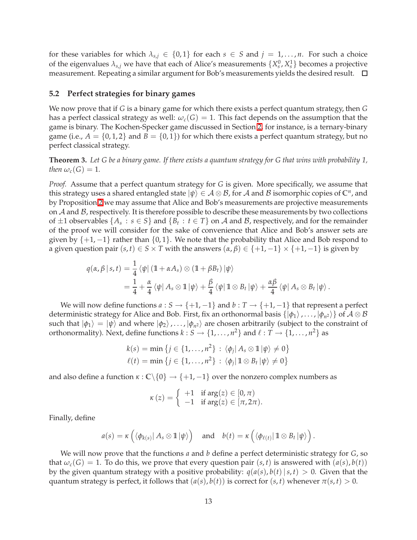for these variables for which  $\lambda_{s,j} \in \{0,1\}$  for each  $s \in S$  and  $j = 1,\ldots,n$ . For such a choice of the eigenvalues  $\lambda_{s,j}$  we have that each of Alice's measurements  $\{X_s^0, X_s^1\}$  becomes a projective measurement. Repeating a similar argument for Bob's measurements yields the desired result.

### **5.2 Perfect strategies for binary games**

We now prove that if *G* is a binary game for which there exists a perfect quantum strategy, then *G* has a perfect classical strategy as well:  $\omega_c(G) = 1$ . This fact depends on the assumption that the game is binary. The Kochen-Specker game discussed in Section [2,](#page-2-0) for instance, is a ternary-binary game (i.e.,  $A = \{0, 1, 2\}$  and  $B = \{0, 1\}$ ) for which there exists a perfect quantum strategy, but no perfect classical strategy.

<span id="page-12-0"></span>**Theorem 3.** *Let G be a binary game. If there exists a quantum strategy for G that wins with probability 1, then*  $\omega_c(G) = 1$ *.* 

*Proof.* Assume that a perfect quantum strategy for *G* is given. More specifically, we assume that this strategy uses a shared entangled state  $|\psi\rangle \in A \otimes B$ , for  $A$  and  $B$  isomorphic copies of  $\mathbb{C}^n$ , and by Proposition [2](#page-11-0) we may assume that Alice and Bob's measurements are projective measurements on  $A$  and  $B$ , respectively. It is therefore possible to describe these measurements by two collections of  $\pm 1$  observables  $\{A_s : s \in S\}$  and  $\{B_t : t \in T\}$  on A and B, respectively, and for the remainder of the proof we will consider for the sake of convenience that Alice and Bob's answer sets are given by  $\{+1, -1\}$  rather than  $\{0, 1\}$ . We note that the probability that Alice and Bob respond to a given question pair  $(s, t) \in S \times T$  with the answers  $(\alpha, \beta) \in \{+1, -1\} \times \{+1, -1\}$  is given by

$$
q(\alpha, \beta | s, t) = \frac{1}{4} \langle \psi | (1 + \alpha A_s) \otimes (1 + \beta B_t) | \psi \rangle
$$
  
= 
$$
\frac{1}{4} + \frac{\alpha}{4} \langle \psi | A_s \otimes 1 | \psi \rangle + \frac{\beta}{4} \langle \psi | 1 \otimes B_t | \psi \rangle + \frac{\alpha \beta}{4} \langle \psi | A_s \otimes B_t | \psi \rangle.
$$

We will now define functions  $a: S \to \{+1, -1\}$  and  $b: T \to \{+1, -1\}$  that represent a perfect deterministic strategy for Alice and Bob. First, fix an orthonormal basis  $\{\ket{\phi_1}, \dots, \ket{\phi_{n^2}}\}$  of  $\mathcal{A} \otimes \mathcal{B}$ such that  $|\phi_1\rangle = |\psi\rangle$  and where  $|\phi_2\rangle$ , ...,  $|\phi_{n^2}\rangle$  are chosen arbitrarily (subject to the constraint of orthonormality). Next, define functions  $k: S \to \{1, ..., n^2\}$  and  $\ell: T \to \{1, ..., n^2\}$  as

$$
k(s) = \min \left\{ j \in \{1, ..., n^2\} : \langle \phi_j | A_s \otimes \mathbb{1} | \psi \rangle \neq 0 \right\}
$$
  

$$
\ell(t) = \min \left\{ j \in \{1, ..., n^2\} : \langle \phi_j | \mathbb{1} \otimes B_t | \psi \rangle \neq 0 \right\}
$$

and also define a function  $\kappa$  :  $\mathbb{C}\backslash\{0\} \rightarrow \{+1,-1\}$  over the nonzero complex numbers as

$$
\kappa(z) = \left\{ \begin{array}{ll} +1 & \text{if } \arg(z) \in [0, \pi) \\ -1 & \text{if } \arg(z) \in [\pi, 2\pi). \end{array} \right.
$$

Finally, define

$$
a(s) = \kappa \left( \langle \phi_{k(s)} | A_s \otimes \mathbb{1} | \psi \rangle \right) \quad \text{and} \quad b(t) = \kappa \left( \langle \phi_{\ell(t)} | \mathbb{1} \otimes B_t | \psi \rangle \right).
$$

We will now prove that the functions *a* and *b* define a perfect deterministic strategy for *G*, so that  $\omega_c(G) = 1$ . To do this, we prove that every question pair  $(s, t)$  is answered with  $(a(s), b(t))$ by the given quantum strategy with a positive probability:  $q(a(s), b(t) | s, t) > 0$ . Given that the quantum strategy is perfect, it follows that  $(a(s), b(t))$  is correct for  $(s, t)$  whenever  $\pi(s, t) > 0$ .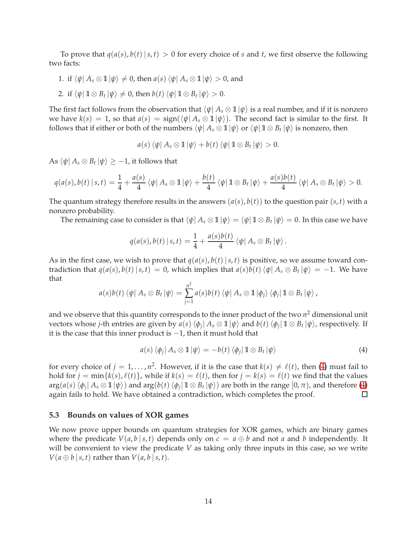To prove that  $q(a(s), b(t) | s, t) > 0$  for every choice of *s* and *t*, we first observe the following two facts:

- 1. if  $\langle \psi | A_s \otimes \mathbb{1} | \psi \rangle \neq 0$ , then  $a(s) \langle \psi | A_s \otimes \mathbb{1} | \psi \rangle > 0$ , and
- 2. if  $\langle \psi | \mathbb{1} \otimes B_t | \psi \rangle \neq 0$ , then  $b(t) \langle \psi | \mathbb{1} \otimes B_t | \psi \rangle > 0$ .

The first fact follows from the observation that  $\langle \psi | A_s \otimes \mathbb{1} | \psi \rangle$  is a real number, and if it is nonzero we have  $k(s) = 1$ , so that  $a(s) = \text{sign}(\langle \psi | A_s \otimes 1 | \psi \rangle)$ . The second fact is similar to the first. It follows that if either or both of the numbers  $\bra{\psi} A_s \otimes \mathbb{1} \ket{\psi}$  or  $\bra{\psi} \mathbb{1} \otimes B_t \ket{\psi}$  is nonzero, then

$$
a(s)\langle \psi | A_s \otimes \mathbb{1} | \psi \rangle + b(t) \langle \psi | \mathbb{1} \otimes B_t | \psi \rangle > 0.
$$

 $\text{As } \bra{\psi} A_s \otimes B_t \ket{\psi} \geq -1$ , it follows that

$$
q(a(s), b(t) | s,t) = \frac{1}{4} + \frac{a(s)}{4} \langle \psi | A_s \otimes \mathbb{1} | \psi \rangle + \frac{b(t)}{4} \langle \psi | \mathbb{1} \otimes B_t | \psi \rangle + \frac{a(s)b(t)}{4} \langle \psi | A_s \otimes B_t | \psi \rangle > 0.
$$

The quantum strategy therefore results in the answers  $(a(s), b(t))$  to the question pair  $(s, t)$  with a nonzero probability.

The remaining case to consider is that  $\langle \psi | A_s \otimes 1 | \psi \rangle = \langle \psi | 1 \otimes B_t | \psi \rangle = 0$ . In this case we have

$$
q(a(s), b(t) | s, t) = \frac{1}{4} + \frac{a(s)b(t)}{4} \langle \psi | A_s \otimes B_t | \psi \rangle.
$$

As in the first case, we wish to prove that  $q(a(s), b(t) | s, t)$  is positive, so we assume toward contradiction that  $q(a(s), b(t) | s, t) = 0$ , which implies that  $a(s)b(t) \langle \psi | A_s \otimes B_t | \psi \rangle = -1$ . We have that

$$
a(s)b(t)\langle \psi | A_s \otimes B_t | \psi \rangle = \sum_{j=1}^{n^2} a(s)b(t)\langle \psi | A_s \otimes \mathbb{1} | \phi_j \rangle \langle \phi_j | \mathbb{1} \otimes B_t | \psi \rangle,
$$

and we observe that this quantity corresponds to the inner product of the two *n* <sup>2</sup> dimensional unit vectors whose *j*-th entries are given by  $a(s)$   $\langle \phi_j | A_s \otimes 1 | \psi \rangle$  and  $b(t)$   $\langle \phi_j | 1 \otimes B_t | \psi \rangle$ , respectively. If it is the case that this inner product is −1, then it must hold that

$$
a(s) \langle \phi_j | A_s \otimes \mathbb{1} | \psi \rangle = -b(t) \langle \phi_j | \mathbb{1} \otimes B_t | \psi \rangle \tag{4}
$$

<span id="page-13-0"></span>for every choice of  $j = 1, ..., n^2$ . However, if it is the case that  $k(s) \neq \ell(t)$ , then [\(4\)](#page-13-0) must fail to hold for  $j = min\{k(s), \ell(t)\}$ , while if  $k(s) = \ell(t)$ , then for  $j = k(s) = \ell(t)$  we find that the values  $\arg(a(s) \langle \phi_j | A_s \otimes 1 | \psi \rangle)$  and  $\arg(b(t) \langle \phi_j | 1 \otimes B_t | \psi \rangle)$  are both in the range  $[0, \pi)$ , and therefore [\(4\)](#page-13-0) again fails to hold. We have obtained a contradiction, which completes the proof.

#### <span id="page-13-1"></span>**5.3 Bounds on values of XOR games**

We now prove upper bounds on quantum strategies for XOR games, which are binary games where the predicate  $V(a, b | s, t)$  depends only on  $c = a \oplus b$  and not *a* and *b* independently. It will be convenient to view the predicate *V* as taking only three inputs in this case, so we write  $V(a \oplus b \mid s, t)$  rather than  $V(a, b \mid s, t)$ .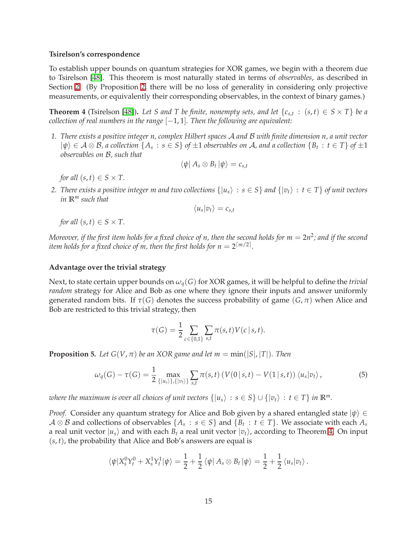#### **Tsirelson's correspondence**

To establish upper bounds on quantum strategies for XOR games, we begin with a theorem due to Tsirelson [\[48\]](#page-24-6). This theorem is most naturally stated in terms of *observables*, as described in Section [2.](#page-2-0) (By Proposition [2,](#page-11-0) there will be no loss of generality in considering only projective measurements, or equivalently their corresponding observables, in the context of binary games.)

<span id="page-14-0"></span>**Theorem 4** (Tsirelson [\[48\]](#page-24-6)). Let *S* and *T* be finite, nonempty sets, and let  $\{c_{s,t} : (s,t) \in S \times T\}$  be a *collection of real numbers in the range*  $[-1, 1]$ *. Then the following are equivalent:* 

*1. There exists a positive integer n, complex Hilbert spaces* A *and* B *with finite dimension n, a unit vector*  $|\psi\rangle \in A \otimes B$ , a collection  $\{A_s : s \in S\}$  of  $\pm 1$  observables on  $A$ , and a collection  $\{B_t : t \in T\}$  of  $\pm 1$ *observables on* B*, such that*

$$
\langle \psi | A_s \otimes B_t | \psi \rangle = c_{s,t}
$$

*for all*  $(s, t) \in S \times T$ .

*2. There exists a positive integer m and two collections*  $\{|u_s\rangle : s \in S\}$  and  $\{|v_t\rangle : t \in T\}$  *of unit vectors in* **R***<sup>m</sup> such that*

$$
\langle u_s | v_t \rangle = c_{s,t}
$$

*for all*  $(s, t) \in S \times T$ .

 $M$ oreover, if the first item holds for a fixed choice of  $n$ , then the second holds for  $m=2n^2$ ; and if the second item holds for a fixed choice of m, then the first holds for  $n=2^{\lceil m/2 \rceil}$ .

#### **Advantage over the trivial strategy**

Next, to state certain upper bounds on *ωq*(*G*) for XOR games, it will be helpful to define the *trivial random* strategy for Alice and Bob as one where they ignore their inputs and answer uniformly generated random bits. If  $\tau(G)$  denotes the success probability of game  $(G, \pi)$  when Alice and Bob are restricted to this trivial strategy, then

$$
\tau(G) = \frac{1}{2} \sum_{c \in \{0,1\}} \sum_{s,t} \pi(s,t) V(c \mid s,t).
$$

<span id="page-14-2"></span><span id="page-14-1"></span>**Proposition 5.** Let  $G(V, \pi)$  be an XOR game and let  $m = min(|S|, |T|)$ . Then

$$
\omega_q(G) - \tau(G) = \frac{1}{2} \max_{\{|u_s\rangle\},\{|v_t\rangle\}} \sum_{s,t} \pi(s,t) \left( V(0 \mid s,t) - V(1 \mid s,t) \right) \langle u_s | v_t \rangle, \tag{5}
$$

*where the maximum is over all choices of unit vectors*  $\{|u_s\rangle : s \in S\} \cup \{|v_t\rangle : t \in T\}$  *in*  $\mathbb{R}^m$ *.* 

*Proof.* Consider any quantum strategy for Alice and Bob given by a shared entangled state  $|\psi\rangle$  ∈  $A \otimes B$  and collections of observables  $\{A_s : s \in S\}$  and  $\{B_t : t \in T\}$ . We associate with each  $A_s$ a real unit vector  $|u_s\rangle$  and with each  $B_t$  a real unit vector  $|v_t\rangle$ , according to Theorem [4.](#page-14-0) On input (*s*, *t*), the probability that Alice and Bob's answers are equal is

$$
\langle \psi | X_s^0 Y_t^0 + X_s^1 Y_t^1 | \psi \rangle = \frac{1}{2} + \frac{1}{2} \langle \psi | A_s \otimes B_t | \psi \rangle = \frac{1}{2} + \frac{1}{2} \langle u_s | v_t \rangle.
$$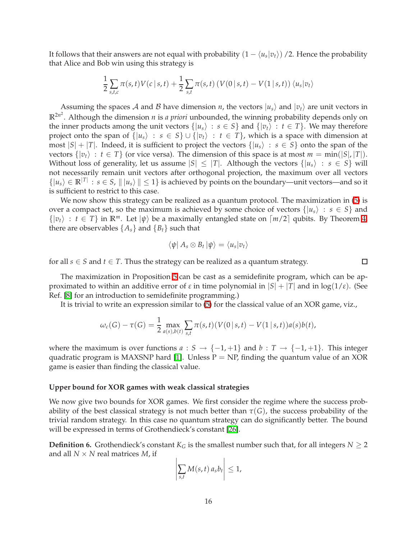It follows that their answers are not equal with probability  $(1 - \langle u_s | v_t \rangle)$  /2. Hence the probability that Alice and Bob win using this strategy is

$$
\frac{1}{2}\sum_{s,t,c}\pi(s,t)V(c|s,t)+\frac{1}{2}\sum_{s,t}\pi(s,t)\left(V(0|s,t)-V(1|s,t)\right)\langle u_s|v_t\rangle
$$

Assuming the spaces A and B have dimension *n*, the vectors  $|u_s\rangle$  and  $|v_t\rangle$  are unit vectors in **R**2*n* 2 . Although the dimension *n* is *a priori* unbounded, the winning probability depends only on the inner products among the unit vectors  $\{|u_s\rangle : s \in S\}$  and  $\{|v_t\rangle : t \in T\}$ . We may therefore project onto the span of  $\{|u_s\rangle : s \in S\} \cup \{|v_t\rangle : t \in T\}$ , which is a space with dimension at most  $|S| + |T|$ . Indeed, it is sufficient to project the vectors  $\{|u_s\rangle : s \in S\}$  onto the span of the vectors  $\{|v_t\rangle : t \in T\}$  (or vice versa). The dimension of this space is at most  $m = \min(|S|, |T|)$ . Without loss of generality, let us assume  $|S| \leq |T|$ . Although the vectors  $\{|u_s\rangle : s \in S\}$  will not necessarily remain unit vectors after orthogonal projection, the maximum over all vectors  $\{|u_s\rangle \in \mathbb{R}^{|T|}: s \in S, ||u_s\rangle \|\leq 1\}$  is achieved by points on the boundary—unit vectors—and so it is sufficient to restrict to this case.

We now show this strategy can be realized as a quantum protocol. The maximization in  $(5)$  is over a compact set, so the maximum is achieved by some choice of vectors  $\{|u_s\rangle : s \in S\}$  and  $\{|v_t\rangle : t \in T\}$  in  $\mathbb{R}^m$ . Let  $|\psi\rangle$  be a maximally entangled state on  $\lceil m/2 \rceil$  qubits. By Theorem [4,](#page-14-0) there are observables  $\{A_s\}$  and  $\{B_t\}$  such that

$$
\langle \psi | A_s \otimes B_t | \psi \rangle = \langle u_s | v_t \rangle
$$

 $\Box$ 

for all  $s \in S$  and  $t \in T$ . Thus the strategy can be realized as a quantum strategy.

The maximization in Proposition [5](#page-14-2) can be cast as a semidefinite program, which can be approximated to within an additive error of  $\varepsilon$  in time polynomial in  $|S| + |T|$  and in  $log(1/\varepsilon)$ . (See Ref. [\[8\]](#page-21-5) for an introduction to semidefinite programming.)

It is trivial to write an expression similar to [\(5\)](#page-14-1) for the classical value of an XOR game, viz.,

$$
\omega_c(G) - \tau(G) = \frac{1}{2} \max_{a(s), b(t)} \sum_{s,t} \pi(s,t) (V(0 \mid s,t) - V(1 \mid s,t)) a(s) b(t),
$$

where the maximum is over functions  $a : S \to \{-1, +1\}$  and  $b : T \to \{-1, +1\}$ . This integer quadratic program is MAXSNP hard [\[1\]](#page-21-6). Unless  $P = NP$ , finding the quantum value of an XOR game is easier than finding the classical value.

#### **Upper bound for XOR games with weak classical strategies**

We now give two bounds for XOR games. We first consider the regime where the success probability of the best classical strategy is not much better than  $\tau(G)$ , the success probability of the trivial random strategy. In this case no quantum strategy can do significantly better. The bound will be expressed in terms of Grothendieck's constant [\[26\]](#page-23-12).

**Definition 6.** Grothendieck's constant  $K_G$  is the smallest number such that, for all integers  $N \geq 2$ and all  $N \times N$  real matrices  $M$ , if

$$
\left|\sum_{s,t} M(s,t)\,a_s b_t\right| \leq 1,
$$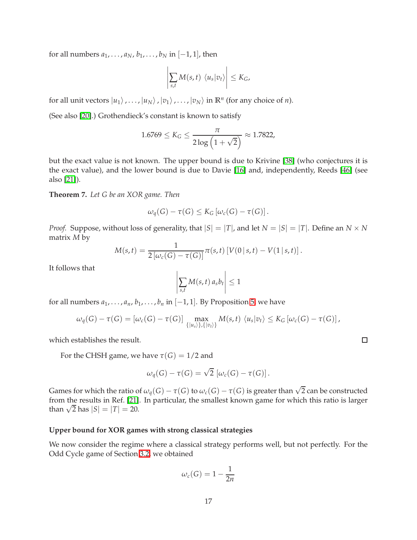for all numbers  $a_1, \ldots, a_N, b_1, \ldots, b_N$  in  $[-1, 1]$ , then

$$
\left|\sum_{s,t} M(s,t) \langle u_s | v_t \rangle \right| \leq K_G,
$$

for all unit vectors  $|u_1\rangle$ ,...,  $|u_N\rangle$ ,  $|v_1\rangle$ ,...,  $|v_N\rangle$  in  $\mathbb{R}^n$  (for any choice of *n*).

(See also [\[20\]](#page-22-12).) Grothendieck's constant is known to satisfy

$$
1.6769 \le K_G \le \frac{\pi}{2 \log \left(1 + \sqrt{2}\right)} \approx 1.7822,
$$

but the exact value is not known. The upper bound is due to Krivine [\[38\]](#page-23-13) (who conjectures it is the exact value), and the lower bound is due to Davie [\[16\]](#page-22-13) and, independently, Reeds [\[46\]](#page-24-7) (see also [\[21\]](#page-22-14)).

**Theorem 7.** *Let G be an XOR game. Then*

$$
\omega_q(G)-\tau(G)\leq K_G\left[\omega_c(G)-\tau(G)\right].
$$

*Proof.* Suppose, without loss of generality, that  $|S| = |T|$ , and let  $N = |S| = |T|$ . Define an  $N \times N$ matrix *M* by

$$
M(s,t) = \frac{1}{2 [\omega_c(G) - \tau(G)]} \pi(s,t) [V(0|s,t) - V(1|s,t)].
$$

It follows that

$$
\left|\sum_{s,t} M(s,t)\,a_s b_t\right| \leq 1
$$

for all numbers  $a_1, \ldots, a_n, b_1, \ldots, b_n$  in  $[-1, 1]$ . By Proposition [5,](#page-14-2) we have

$$
\omega_q(G) - \tau(G) = [\omega_c(G) - \tau(G)] \max_{\{|u_s\rangle\}, \{|v_t\rangle\}} M(s, t) \langle u_s|v_t\rangle \leq K_G [\omega_c(G) - \tau(G)],
$$

which establishes the result.

For the CHSH game, we have  $\tau(G) = 1/2$  and

$$
\omega_q(G) - \tau(G) = \sqrt{2} \left[ \omega_c(G) - \tau(G) \right].
$$

Games for which the ratio of  $\omega_q(G) - \tau(G)$  to  $\omega_c(G) - \tau(G)$  is greater than  $\sqrt{2}$  can be constructed from the results in Ref. [\[21\]](#page-22-14). In particular, the smallest known game for which this ratio is larger than  $\sqrt{2}$  has  $|S| = |T| = 20$ .

# **Upper bound for XOR games with strong classical strategies**

We now consider the regime where a classical strategy performs well, but not perfectly. For the Odd Cycle game of Section [3.2,](#page-5-0) we obtained

$$
\omega_c(G) = 1 - \frac{1}{2n}
$$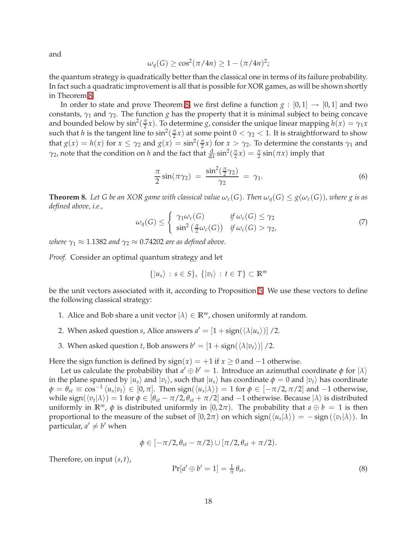and

$$
\omega_q(G) \ge \cos^2(\pi/4n) \ge 1 - (\pi/4n)^2;
$$

the quantum strategy is quadratically better than the classical one in terms of its failure probability. In fact such a quadratic improvement is all that is possible for XOR games, as will be shown shortly in Theorem [8.](#page-17-0)

In order to state and prove Theorem [8,](#page-17-0) we first define a function  $g : [0,1] \rightarrow [0,1]$  and two constants,  $\gamma_1$  and  $\gamma_2$ . The function *g* has the property that it is minimal subject to being concave and bounded below by  $\sin^2(\frac{\pi}{2})$  $\frac{\pi}{2}$ *x*). To determine *g*, consider the unique linear mapping  $h(x) = \gamma_1 x$ such that *h* is the tangent line to  $\sin^2(\frac{\pi}{2})$  $\frac{\pi}{2}x$ ) at some point  $0 < \gamma_2 < 1$ . It is straightforward to show that  $g(x) = h(x)$  for  $x \leq \gamma_2$  and  $g(x) = \sin^2(\frac{\pi}{2})$  $\frac{\pi}{2}$ *x*) for *x* > *γ*<sub>2</sub>. To determine the constants *γ*<sub>1</sub> and  $\gamma_2$ , note that the condition on *h* and the fact that  $\frac{d}{dx}$  sin<sup>2</sup> $(\frac{\pi}{2})$  $(\frac{\pi}{2}x) = \frac{\pi}{2}\sin(\pi x)$  imply that

$$
\frac{\pi}{2}\sin(\pi\gamma_2) = \frac{\sin^2(\frac{\pi}{2}\gamma_2)}{\gamma_2} = \gamma_1.
$$
\n(6)

<span id="page-17-0"></span>**Theorem 8.** Let G be an XOR game with classical value  $\omega_c(G)$ . Then  $\omega_q(G) \leq g(\omega_c(G))$ , where g is as *defined above, i.e.,*

$$
\omega_q(G) \leq \begin{cases} \gamma_1 \omega_c(G) & \text{if } \omega_c(G) \leq \gamma_2 \\ \sin^2\left(\frac{\pi}{2} \omega_c(G)\right) & \text{if } \omega_c(G) > \gamma_2, \end{cases} \tag{7}
$$

*where*  $\gamma_1 \approx 1.1382$  *and*  $\gamma_2 \approx 0.74202$  *are as defined above.* 

*Proof.* Consider an optimal quantum strategy and let

$$
\{|u_s\rangle\,:\,s\in S\},\,\{|v_t\rangle\,:\,t\in T\}\subset\mathbb{R}^m
$$

be the unit vectors associated with it, according to Proposition [5.](#page-14-2) We use these vectors to define the following classical strategy:

- 1. Alice and Bob share a unit vector  $|\lambda\rangle \in \mathbb{R}^m$ , chosen uniformly at random.
- 2. When asked question *s*, Alice answers  $a' = \left[1 + \text{sign}(\langle \lambda | u_s \rangle) \right]$  /2.
- 3. When asked question *t*, Bob answers  $b' = \left[1 + \text{sign}(\langle \lambda | v_t \rangle) \right] / 2$ .

Here the sign function is defined by  $sign(x) = +1$  if  $x \ge 0$  and  $-1$  otherwise.

Let us calculate the probability that  $a' \oplus b' = 1$ . Introduce an azimuthal coordinate  $\phi$  for  $|\lambda\rangle$ in the plane spanned by  $|u_s\rangle$  and  $|v_t\rangle$ , such that  $|u_s\rangle$  has coordinate  $\phi = 0$  and  $|v_t\rangle$  has coordinate  $\phi = \theta_{st} \equiv \cos^{-1}\langle u_s | v_t \rangle \in [0, \pi]$ . Then  $\text{sign}(\langle u_s | \lambda \rangle) = 1$  for  $\phi \in [-\pi/2, \pi/2]$  and -1 otherwise, while  $\text{sign}(\langle v_t | \lambda \rangle) = 1$  for  $\phi \in [\theta_{st} - \pi/2, \theta_{st} + \pi/2]$  and  $-1$  otherwise. Because  $|\lambda\rangle$  is distributed uniformly in  $\mathbb{R}^m$ ,  $\phi$  is distributed uniformly in [0,2 $\pi$ ). The probability that  $a \oplus b = 1$  is then proportional to the measure of the subset of  $[0, 2\pi)$  on which sign $(\langle u_s | \lambda \rangle) = -$  sign $(\langle v_t | \lambda \rangle)$ . In particular,  $a' \neq b'$  when

$$
\phi\in[-\pi/2,\theta_{st}-\pi/2)\cup[\pi/2,\theta_{st}+\pi/2).
$$

Therefore, on input (*s*, *t*),

$$
\Pr[a' \oplus b' = 1] = \frac{1}{\pi} \theta_{st}.
$$
\n<sup>(8)</sup>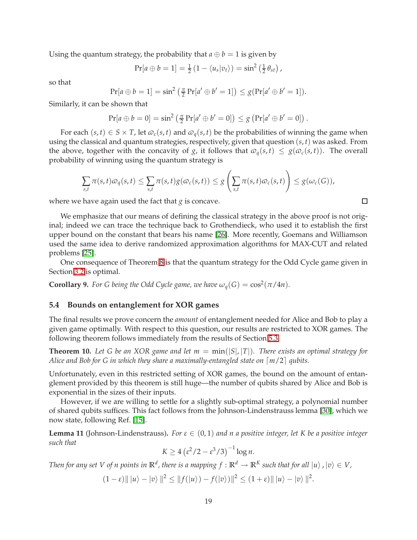Using the quantum strategy, the probability that  $a \oplus b = 1$  is given by

$$
Pr[a \oplus b = 1] = \frac{1}{2} (1 - \langle u_s | v_t \rangle) = \sin^2 \left( \frac{1}{2} \theta_{st} \right),
$$

so that

$$
Pr[a \oplus b = 1] = \sin^2\left(\frac{\pi}{2} Pr[a' \oplus b' = 1]\right) \leq g(Pr[a' \oplus b' = 1]).
$$

Similarly, it can be shown that

$$
Pr[a \oplus b = 0] = \sin^2(\frac{\pi}{2} Pr[a' \oplus b' = 0]) \leq g (Pr[a' \oplus b' = 0]).
$$

For each  $(s, t) \in S \times T$ , let  $\varphi_c(s, t)$  and  $\varphi_q(s, t)$  be the probabilities of winning the game when using the classical and quantum strategies, respectively, given that question (*s*, *t*) was asked. From the above, together with the concavity of *g*, it follows that  $\omega_q(s,t) \leq g(\omega_c(s,t))$ . The overall probability of winning using the quantum strategy is

$$
\sum_{s,t}\pi(s,t)\varpi_q(s,t)\leq \sum_{s,t}\pi(s,t)g(\varpi_c(s,t))\leq g\left(\sum_{s,t}\pi(s,t)\varpi_c(s,t)\right)\leq g(\omega_c(G)),
$$

where we have again used the fact that *g* is concave.

We emphasize that our means of defining the classical strategy in the above proof is not original; indeed we can trace the technique back to Grothendieck, who used it to establish the first upper bound on the constant that bears his name [\[26\]](#page-23-12). More recently, Goemans and Williamson used the same idea to derive randomized approximation algorithms for MAX-CUT and related problems [\[25\]](#page-22-15).

<span id="page-18-0"></span>One consequence of Theorem [8](#page-17-0) is that the quantum strategy for the Odd Cycle game given in Section [3.2](#page-5-0) is optimal.

**Corollary 9.** *For G being the Odd Cycle game, we have*  $\omega_q(G) = \cos^2(\pi/4n)$ *.* 

### **5.4 Bounds on entanglement for XOR games**

The final results we prove concern the *amount* of entanglement needed for Alice and Bob to play a given game optimally. With respect to this question, our results are restricted to XOR games. The following theorem follows immediately from the results of Section [5.3.](#page-13-1)

**Theorem 10.** Let G be an XOR game and let  $m = min(|S|, |T|)$ . There exists an optimal strategy for *Alice and Bob for G in which they share a maximally-entangled state on*  $\lceil m/2 \rceil$  *qubits.* 

Unfortunately, even in this restricted setting of XOR games, the bound on the amount of entanglement provided by this theorem is still huge—the number of qubits shared by Alice and Bob is exponential in the sizes of their inputs.

However, if we are willing to settle for a slightly sub-optimal strategy, a polynomial number of shared qubits suffices. This fact follows from the Johnson-Lindenstrauss lemma [\[30\]](#page-23-14), which we now state, following Ref. [\[15\]](#page-22-16).

**Lemma 11** (Johnson-Lindenstrauss). For  $\varepsilon \in (0,1)$  and n a positive integer, let K be a positive integer *such that*

$$
K \ge 4\left(\varepsilon^2/2 - \varepsilon^3/3\right)^{-1}\log n.
$$

*Then for any set V of n points in*  $\mathbb{R}^d$ , there is a mapping  $f : \mathbb{R}^d \to \mathbb{R}^K$  such that for all  $|u\rangle$  ,  $|v\rangle \in V$ ,

$$
(1-\varepsilon) \|\ket{u}-\ket{v}\|^2 \le \|f(\ket{u})-f(\ket{v})\|^2 \le (1+\varepsilon) \|\ket{u}-\ket{v}\|^2.
$$

 $\Box$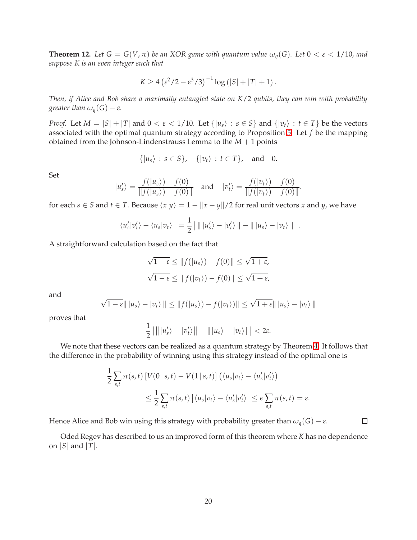**Theorem 12.** Let  $G = G(V, \pi)$  be an XOR game with quantum value  $\omega_q(G)$ . Let  $0 < \varepsilon < 1/10$ , and *suppose K is an even integer such that*

$$
K \ge 4(\varepsilon^2/2 - \varepsilon^3/3)^{-1} \log (|S| + |T| + 1).
$$

*Then, if Alice and Bob share a maximally entangled state on K*/2 *qubits, they can win with probability greater than*  $\omega_q(G) - \varepsilon$ *.* 

*Proof.* Let  $M = |S| + |T|$  and  $0 < \varepsilon < 1/10$ . Let  $\{|u_s\rangle : s \in S\}$  and  $\{|v_t\rangle : t \in T\}$  be the vectors associated with the optimal quantum strategy according to Proposition [5.](#page-14-2) Let *f* be the mapping obtained from the Johnson-Lindenstrauss Lemma to the *M* + 1 points

$$
\{|u_s\rangle : s \in S\}, \quad \{|v_t\rangle : t \in T\}, \quad \text{and} \quad 0.
$$

Set

$$
|u'_s\rangle = \frac{f(|u_s\rangle) - f(0)}{\|f(|u_s\rangle) - f(0)\|}
$$
 and  $|v'_t\rangle = \frac{f(|v_t\rangle) - f(0)}{\|f(|v_t\rangle) - f(0)\|}.$ 

for each *s*  $\in$  *S* and *t*  $\in$  *T*. Because  $\langle x|y \rangle = 1 - ||x - y||/2$  for real unit vectors *x* and *y*, we have

$$
\left| \langle u'_s | v'_t \rangle - \langle u_s | v_t \rangle \right| = \frac{1}{2} \left| \left| \left| u'_s \rangle - | v'_t \rangle \right| \right| - \left| \left| \left| u_s \rangle - | v_t \rangle \right| \right| \right|.
$$

A straightforward calculation based on the fact that

$$
\sqrt{1-\varepsilon} \le ||f(|u_s\rangle) - f(0)|| \le \sqrt{1+\varepsilon},
$$
  

$$
\sqrt{1-\varepsilon} \le ||f(|v_t\rangle) - f(0)|| \le \sqrt{1+\varepsilon},
$$

and

$$
\sqrt{1-\varepsilon}|| |u_s\rangle - |v_t\rangle || \le ||f(|u_s\rangle) - f(|v_t\rangle)|| \le \sqrt{1+\varepsilon}|| |u_s\rangle - |v_t\rangle||
$$

proves that

$$
\frac{1}{2}||||u'_{s}\rangle-|v'_{t}\rangle||-|||u_{s}\rangle-|v_{t}\rangle|||<2\varepsilon.
$$

We note that these vectors can be realized as a quantum strategy by Theorem [4.](#page-14-0) It follows that the difference in the probability of winning using this strategy instead of the optimal one is

$$
\frac{1}{2} \sum_{s,t} \pi(s,t) \left[ V(0 \mid s,t) - V(1 \mid s,t) \right] \left( \langle u_s | v_t \rangle - \langle u'_s | v'_t \rangle \right)
$$
  

$$
\leq \frac{1}{2} \sum_{s,t} \pi(s,t) \left| \langle u_s | v_t \rangle - \langle u'_s | v'_t \rangle \right| \leq \epsilon \sum_{s,t} \pi(s,t) = \epsilon.
$$

Hence Alice and Bob win using this strategy with probability greater than  $\omega_q(G) - \varepsilon$ .

Oded Regev has described to us an improved form of this theorem where *K* has no dependence on  $|S|$  and  $|T|$ .

 $\Box$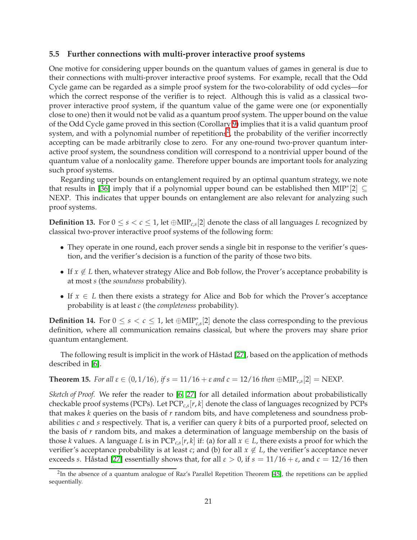### **5.5 Further connections with multi-prover interactive proof systems**

One motive for considering upper bounds on the quantum values of games in general is due to their connections with multi-prover interactive proof systems. For example, recall that the Odd Cycle game can be regarded as a simple proof system for the two-colorability of odd cycles—for which the correct response of the verifier is to reject. Although this is valid as a classical twoprover interactive proof system, if the quantum value of the game were one (or exponentially close to one) then it would not be valid as a quantum proof system. The upper bound on the value of the Odd Cycle game proved in this section (Corollary [9\)](#page-18-0) implies that it is a valid quantum proof system, and with a polynomial number of repetitions<sup>[2](#page-20-0)</sup>, the probability of the verifier incorrectly accepting can be made arbitrarily close to zero. For any one-round two-prover quantum interactive proof system, the soundness condition will correspond to a nontrivial upper bound of the quantum value of a nonlocality game. Therefore upper bounds are important tools for analyzing such proof systems.

Regarding upper bounds on entanglement required by an optimal quantum strategy, we note that results in [\[36\]](#page-23-11) imply that if a polynomial upper bound can be established then  $\text{MIP}^*[2] \subseteq$ NEXP. This indicates that upper bounds on entanglement are also relevant for analyzing such proof systems.

**Definition 13.** For  $0 \le s < c \le 1$ , let  $\bigoplus \text{MIP}_{c,s}[2]$  denote the class of all languages *L* recognized by classical two-prover interactive proof systems of the following form:

- They operate in one round, each prover sends a single bit in response to the verifier's question, and the verifier's decision is a function of the parity of those two bits.
- If  $x \notin L$  then, whatever strategy Alice and Bob follow, the Prover's acceptance probability is at most *s* (the *soundness* probability).
- If  $x \in L$  then there exists a strategy for Alice and Bob for which the Prover's acceptance probability is at least *c* (the *completeness* probability).

**Definition 14.** For  $0 \le s < c \le 1$ , let  $\oplus$ MIP<sup>\*</sup><sub>*c*,*s*</sub><sup>[2] denote the class corresponding to the previous</sup> definition, where all communication remains classical, but where the provers may share prior quantum entanglement.

The following result is implicit in the work of Håstad [\[27\]](#page-23-15), based on the application of methods described in [\[6\]](#page-21-7).

**Theorem 15.** For all  $\varepsilon \in (0, 1/16)$ , if  $s = 11/16 + \varepsilon$  and  $c = 12/16$  then  $\bigoplus \text{MIP}_{c,s}[2] = \text{NEXP}.$ 

*Sketch of Proof.* We refer the reader to [\[6,](#page-21-7) [27\]](#page-23-15) for all detailed information about probabilistically checkable proof systems (PCPs). Let PCP*c*,*<sup>s</sup>* [*r*, *k*] denote the class of languages recognized by PCPs that makes *k* queries on the basis of *r* random bits, and have completeness and soundness probabilities *c* and *s* respectively. That is, a verifier can query *k* bits of a purported proof, selected on the basis of *r* random bits, and makes a determination of language membership on the basis of those *k* values. A language *L* is in  $PCP_{c,s}[r, k]$  if: (a) for all  $x \in L$ , there exists a proof for which the verifier's acceptance probability is at least *c*; and (b) for all  $x \notin L$ , the verifier's acceptance never exceeds *s*. Håstad [\[27\]](#page-23-15) essentially shows that, for all  $\varepsilon > 0$ , if  $s = 11/16 + \varepsilon$ , and  $c = 12/16$  then

<span id="page-20-0"></span><sup>&</sup>lt;sup>2</sup>In the absence of a quantum analogue of Raz's Parallel Repetition Theorem [\[45\]](#page-24-0), the repetitions can be applied sequentially.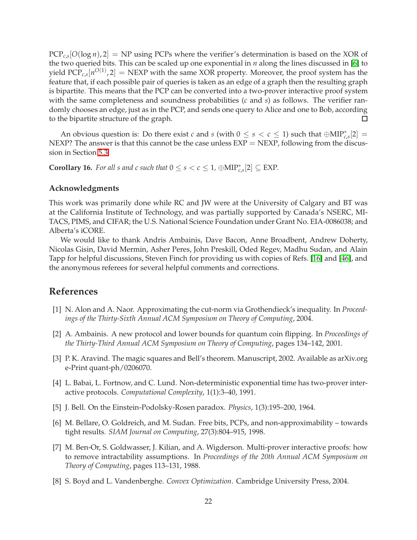PCP*c*,*<sup>s</sup>* [*O*(log *n*), 2] = NP using PCPs where the verifier's determination is based on the XOR of the two queried bits. This can be scaled up one exponential in *n* along the lines discussed in [\[6\]](#page-21-7) to yield  $\text{PCP}_{c,s}[n^{O(1)},2] = \text{NEXP}$  with the same XOR property. Moreover, the proof system has the feature that, if each possible pair of queries is taken as an edge of a graph then the resulting graph is bipartite. This means that the PCP can be converted into a two-prover interactive proof system with the same completeness and soundness probabilities (*c* and *s*) as follows. The verifier randomly chooses an edge, just as in the PCP, and sends one query to Alice and one to Bob, according to the bipartite structure of the graph.  $\Box$ 

An obvious question is: Do there exist *c* and *s* (with  $0 \le s < c \le 1$ ) such that  $\bigoplus \text{MIP}^*_{c,s}[2] =$ NEXP? The answer is that this cannot be the case unless  $EXP = NEXP$ , following from the discussion in Section [5.3.](#page-13-1)

**Corollary 16.** *For all s and c such that*  $0 \le s < c \le 1$ ,  $\oplus \text{MIP}^*_{c,s}[2] \subseteq \text{EXP}$ *.* 

# **Acknowledgments**

This work was primarily done while RC and JW were at the University of Calgary and BT was at the California Institute of Technology, and was partially supported by Canada's NSERC, MI-TACS, PIMS, and CIFAR; the U.S. National Science Foundation under Grant No. EIA-0086038; and Alberta's iCORE.

We would like to thank Andris Ambainis, Dave Bacon, Anne Broadbent, Andrew Doherty, Nicolas Gisin, David Mermin, Asher Peres, John Preskill, Oded Regev, Madhu Sudan, and Alain Tapp for helpful discussions, Steven Finch for providing us with copies of Refs. [\[16\]](#page-22-13) and [\[46\]](#page-24-7), and the anonymous referees for several helpful comments and corrections.

# <span id="page-21-6"></span>**References**

- [1] N. Alon and A. Naor. Approximating the cut-norm via Grothendieck's inequality. In *Proceedings of the Thirty-Sixth Annual ACM Symposium on Theory of Computing*, 2004.
- <span id="page-21-4"></span><span id="page-21-1"></span>[2] A. Ambainis. A new protocol and lower bounds for quantum coin flipping. In *Proceedings of the Thirty-Third Annual ACM Symposium on Theory of Computing*, pages 134–142, 2001.
- [3] P. K. Aravind. The magic squares and Bell's theorem. Manuscript, 2002. Available as arXiv.org e-Print quant-ph/0206070.
- <span id="page-21-3"></span>[4] L. Babai, L. Fortnow, and C. Lund. Non-deterministic exponential time has two-prover interactive protocols. *Computational Complexity*, 1(1):3–40, 1991.
- <span id="page-21-7"></span><span id="page-21-0"></span>[5] J. Bell. On the Einstein-Podolsky-Rosen paradox. *Physics*, 1(3):195–200, 1964.
- [6] M. Bellare, O. Goldreich, and M. Sudan. Free bits, PCPs, and non-approximability towards tight results. *SIAM Journal on Computing*, 27(3):804–915, 1998.
- <span id="page-21-2"></span>[7] M. Ben-Or, S. Goldwasser, J. Kilian, and A. Wigderson. Multi-prover interactive proofs: how to remove intractability assumptions. In *Proceedings of the 20th Annual ACM Symposium on Theory of Computing*, pages 113–131, 1988.
- <span id="page-21-5"></span>[8] S. Boyd and L. Vandenberghe. *Convex Optimization*. Cambridge University Press, 2004.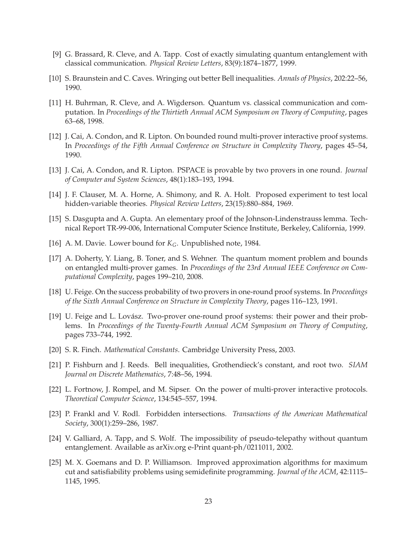- <span id="page-22-7"></span>[9] G. Brassard, R. Cleve, and A. Tapp. Cost of exactly simulating quantum entanglement with classical communication. *Physical Review Letters*, 83(9):1874–1877, 1999.
- <span id="page-22-8"></span><span id="page-22-4"></span>[10] S. Braunstein and C. Caves. Wringing out better Bell inequalities. *Annals of Physics*, 202:22–56, 1990.
- [11] H. Buhrman, R. Cleve, and A. Wigderson. Quantum vs. classical communication and computation. In *Proceedings of the Thirtieth Annual ACM Symposium on Theory of Computing*, pages 63–68, 1998.
- <span id="page-22-5"></span>[12] J. Cai, A. Condon, and R. Lipton. On bounded round multi-prover interactive proof systems. In *Proceedings of the Fifth Annual Conference on Structure in Complexity Theory*, pages 45–54, 1990.
- <span id="page-22-1"></span>[13] J. Cai, A. Condon, and R. Lipton. PSPACE is provable by two provers in one round. *Journal of Computer and System Sciences*, 48(1):183–193, 1994.
- <span id="page-22-3"></span>[14] J. F. Clauser, M. A. Horne, A. Shimony, and R. A. Holt. Proposed experiment to test local hidden-variable theories. *Physical Review Letters*, 23(15):880–884, 1969.
- <span id="page-22-16"></span>[15] S. Dasgupta and A. Gupta. An elementary proof of the Johnson-Lindenstrauss lemma. Technical Report TR-99-006, International Computer Science Institute, Berkeley, California, 1999.
- <span id="page-22-13"></span><span id="page-22-2"></span>[16] A. M. Davie. Lower bound for *KG*. Unpublished note, 1984.
- [17] A. Doherty, Y. Liang, B. Toner, and S. Wehner. The quantum moment problem and bounds on entangled multi-prover games. In *Proceedings of the 23rd Annual IEEE Conference on Computational Complexity*, pages 199–210, 2008.
- <span id="page-22-6"></span>[18] U. Feige. On the success probability of two provers in one-round proof systems. In *Proceedings of the Sixth Annual Conference on Structure in Complexity Theory*, pages 116–123, 1991.
- <span id="page-22-0"></span>[19] U. Feige and L. Lovász. Two-prover one-round proof systems: their power and their problems. In *Proceedings of the Twenty-Fourth Annual ACM Symposium on Theory of Computing*, pages 733–744, 1992.
- <span id="page-22-14"></span><span id="page-22-12"></span>[20] S. R. Finch. *Mathematical Constants*. Cambridge University Press, 2003.
- <span id="page-22-11"></span>[21] P. Fishburn and J. Reeds. Bell inequalities, Grothendieck's constant, and root two. *SIAM Journal on Discrete Mathematics*, 7:48–56, 1994.
- [22] L. Fortnow, J. Rompel, and M. Sipser. On the power of multi-prover interactive protocols. *Theoretical Computer Science*, 134:545–557, 1994.
- <span id="page-22-9"></span>[23] P. Frankl and V. Rodl. Forbidden intersections. *Transactions of the American Mathematical Society*, 300(1):259–286, 1987.
- <span id="page-22-10"></span>[24] V. Galliard, A. Tapp, and S. Wolf. The impossibility of pseudo-telepathy without quantum entanglement. Available as arXiv.org e-Print quant-ph/0211011, 2002.
- <span id="page-22-15"></span>[25] M. X. Goemans and D. P. Williamson. Improved approximation algorithms for maximum cut and satisfiability problems using semidefinite programming. *Journal of the ACM*, 42:1115– 1145, 1995.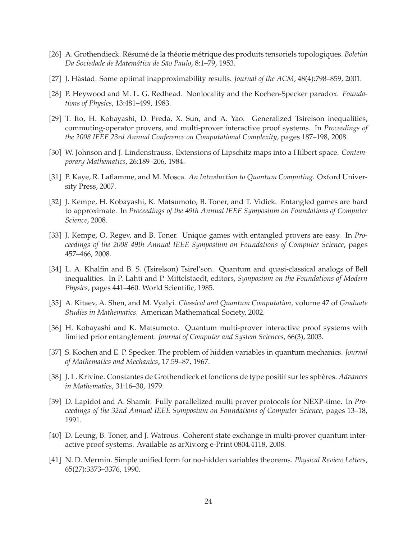- <span id="page-23-15"></span><span id="page-23-12"></span>[26] A. Grothendieck. R´esum´e de la th´eorie m´etrique des produits tensoriels topologiques. *Boletim Da Sociedade de Matem´atica de S˜ao Paulo*, 8:1–79, 1953.
- <span id="page-23-9"></span>[27] J. Håstad. Some optimal inapproximability results. *Journal of the ACM*, 48(4):798–859, 2001.
- <span id="page-23-0"></span>[28] P. Heywood and M. L. G. Redhead. Nonlocality and the Kochen-Specker paradox. *Foundations of Physics*, 13:481–499, 1983.
- [29] T. Ito, H. Kobayashi, D. Preda, X. Sun, and A. Yao. Generalized Tsirelson inequalities, commuting-operator provers, and multi-prover interactive proof systems. In *Proceedings of the 2008 IEEE 23rd Annual Conference on Computational Complexity*, pages 187–198, 2008.
- <span id="page-23-14"></span><span id="page-23-4"></span>[30] W. Johnson and J. Lindenstrauss. Extensions of Lipschitz maps into a Hilbert space. *Contemporary Mathematics*, 26:189–206, 1984.
- [31] P. Kaye, R. Laflamme, and M. Mosca. *An Introduction to Quantum Computing*. Oxford University Press, 2007.
- <span id="page-23-1"></span>[32] J. Kempe, H. Kobayashi, K. Matsumoto, B. Toner, and T. Vidick. Entangled games are hard to approximate. In *Proceedings of the 49th Annual IEEE Symposium on Foundations of Computer Science*, 2008.
- <span id="page-23-2"></span>[33] J. Kempe, O. Regev, and B. Toner. Unique games with entangled provers are easy. In *Proceedings of the 2008 49th Annual IEEE Symposium on Foundations of Computer Science*, pages 457–466, 2008.
- <span id="page-23-6"></span>[34] L. A. Khalfin and B. S. (Tsirelson) Tsirel'son. Quantum and quasi-classical analogs of Bell inequalities. In P. Lahti and P. Mittelstaedt, editors, *Symposium on the Foundations of Modern Physics*, pages 441–460. World Scientific, 1985.
- <span id="page-23-3"></span>[35] A. Kitaev, A. Shen, and M. Vyalyi. *Classical and Quantum Computation*, volume 47 of *Graduate Studies in Mathematics*. American Mathematical Society, 2002.
- <span id="page-23-11"></span>[36] H. Kobayashi and K. Matsumoto. Quantum multi-prover interactive proof systems with limited prior entanglement. *Journal of Computer and System Sciences*, 66(3), 2003.
- <span id="page-23-13"></span><span id="page-23-8"></span>[37] S. Kochen and E. P. Specker. The problem of hidden variables in quantum mechanics. *Journal of Mathematics and Mechanics*, 17:59–87, 1967.
- <span id="page-23-10"></span>[38] J. L. Krivine. Constantes de Grothendieck et fonctions de type positif sur les sphères. *Advances in Mathematics*, 31:16–30, 1979.
- [39] D. Lapidot and A. Shamir. Fully parallelized multi prover protocols for NEXP-time. In *Proceedings of the 32nd Annual IEEE Symposium on Foundations of Computer Science*, pages 13–18, 1991.
- <span id="page-23-5"></span>[40] D. Leung, B. Toner, and J. Watrous. Coherent state exchange in multi-prover quantum interactive proof systems. Available as arXiv.org e-Print 0804.4118, 2008.
- <span id="page-23-7"></span>[41] N. D. Mermin. Simple unified form for no-hidden variables theorems. *Physical Review Letters*, 65(27):3373–3376, 1990.